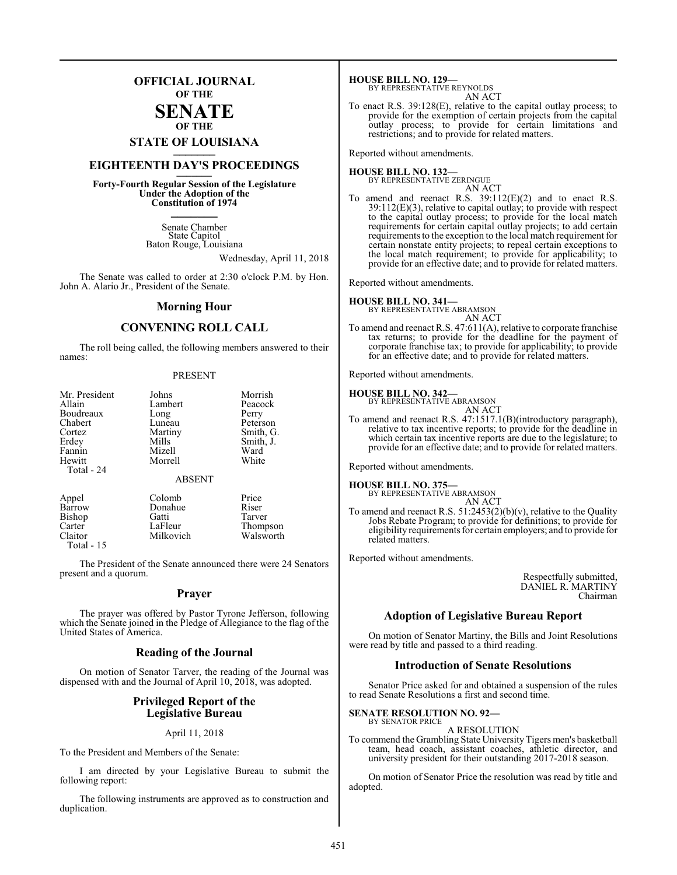## **OFFICIAL JOURNAL OF THE**

#### **SENATE OF THE**

# **STATE OF LOUISIANA \_\_\_\_\_\_\_**

## **EIGHTEENTH DAY'S PROCEEDINGS \_\_\_\_\_\_\_**

**Forty-Fourth Regular Session of the Legislature Under the Adoption of the Constitution of 1974 \_\_\_\_\_\_\_**

> Senate Chamber State Capitol Baton Rouge, Louisiana

> > Wednesday, April 11, 2018

The Senate was called to order at 2:30 o'clock P.M. by Hon. John A. Alario Jr., President of the Senate.

#### **Morning Hour**

### **CONVENING ROLL CALL**

The roll being called, the following members answered to their names:

#### PRESENT

| Mr. President<br>Allain<br>Boudreaux<br>Chabert<br>Cortez<br>Erdey<br>Fannin<br>Hewitt<br>Total - 24 | Johns<br>Lambert<br>Long<br>Luneau<br>Martiny<br>Mills<br>Mizell<br>Morrell | Morrish<br>Peacock<br>Perry<br>Peterson<br>Smith, G.<br>Smith, J.<br>Ward<br>White |
|------------------------------------------------------------------------------------------------------|-----------------------------------------------------------------------------|------------------------------------------------------------------------------------|
|                                                                                                      | <b>ABSENT</b>                                                               |                                                                                    |
| Appel<br>Barrow<br>Bishop<br>Carter                                                                  | Colomb<br>Donahue<br>Gatti<br>LaFleur                                       | Price<br>Riser<br>Tarver<br>Thompson                                               |

Claitor Milkovich Walsworth

Total - 15

The President of the Senate announced there were 24 Senators present and a quorum.

#### **Prayer**

The prayer was offered by Pastor Tyrone Jefferson, following which the Senate joined in the Pledge of Allegiance to the flag of the United States of America.

#### **Reading of the Journal**

On motion of Senator Tarver, the reading of the Journal was dispensed with and the Journal of April 10, 2018, was adopted.

#### **Privileged Report of the Legislative Bureau**

April 11, 2018

To the President and Members of the Senate:

I am directed by your Legislative Bureau to submit the following report:

The following instruments are approved as to construction and duplication.

**HOUSE BILL NO. 129—** BY REPRESENTATIVE REYNOLDS

AN ACT

To enact R.S. 39:128(E), relative to the capital outlay process; to provide for the exemption of certain projects from the capital outlay process; to provide for certain limitations and restrictions; and to provide for related matters.

Reported without amendments.

#### **HOUSE BILL NO. 132—**

BY REPRESENTATIVE ZERINGUE AN ACT

To amend and reenact R.S.  $39:112(E)(2)$  and to enact R.S. 39:112(E)(3), relative to capital outlay; to provide with respect to the capital outlay process; to provide for the local match requirements for certain capital outlay projects; to add certain requirements to the exception to the local match requirement for certain nonstate entity projects; to repeal certain exceptions to the local match requirement; to provide for applicability; to provide for an effective date; and to provide for related matters.

Reported without amendments.

#### **HOUSE BILL NO. 341—**

BY REPRESENTATIVE ABRAMSON AN ACT

To amend and reenact R.S. 47:611(A), relative to corporate franchise tax returns; to provide for the deadline for the payment of corporate franchise tax; to provide for applicability; to provide for an effective date; and to provide for related matters.

Reported without amendments.

#### **HOUSE BILL NO. 342—**

BY REPRESENTATIVE ABRAMSON AN ACT

To amend and reenact R.S. 47:1517.1(B)(introductory paragraph), relative to tax incentive reports; to provide for the deadline in which certain tax incentive reports are due to the legislature; to provide for an effective date; and to provide for related matters.

Reported without amendments.

**HOUSE BILL NO. 375—** BY REPRESENTATIVE ABRAMSON

AN ACT To amend and reenact R.S.  $51:2453(2)(b)(v)$ , relative to the Quality Jobs Rebate Program; to provide for definitions; to provide for eligibility requirements for certain employers; and to provide for related matters.

Reported without amendments.

Respectfully submitted, DANIEL R. MARTINY Chairman

### **Adoption of Legislative Bureau Report**

On motion of Senator Martiny, the Bills and Joint Resolutions were read by title and passed to a third reading.

### **Introduction of Senate Resolutions**

Senator Price asked for and obtained a suspension of the rules to read Senate Resolutions a first and second time.

#### **SENATE RESOLUTION NO. 92—** BY SENATOR PRICE

A RESOLUTION

To commend the Grambling State University Tigers men's basketball team, head coach, assistant coaches, athletic director, and university president for their outstanding 2017-2018 season.

On motion of Senator Price the resolution was read by title and adopted.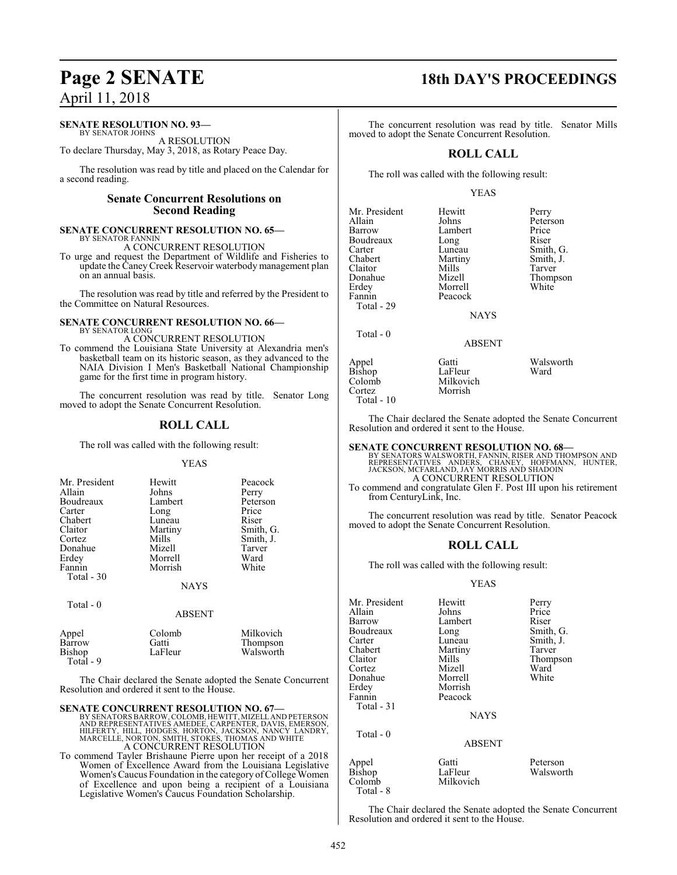#### **SENATE RESOLUTION NO. 93—**

BY SENATOR JOHNS A RESOLUTION

To declare Thursday, May 3, 2018, as Rotary Peace Day.

The resolution was read by title and placed on the Calendar for a second reading.

#### **Senate Concurrent Resolutions on Second Reading**

#### **SENATE CONCURRENT RESOLUTION NO. 65—** BY SENATOR FANNIN

A CONCURRENT RESOLUTION

To urge and request the Department of Wildlife and Fisheries to update the Caney Creek Reservoir waterbody management plan on an annual basis.

The resolution was read by title and referred by the President to the Committee on Natural Resources.

#### **SENATE CONCURRENT RESOLUTION NO. 66—** BY SENATOR LONG

A CONCURRENT RESOLUTION

To commend the Louisiana State University at Alexandria men's basketball team on its historic season, as they advanced to the NAIA Division I Men's Basketball National Championship game for the first time in program history.

The concurrent resolution was read by title. Senator Long moved to adopt the Senate Concurrent Resolution.

#### **ROLL CALL**

The roll was called with the following result:

#### YEAS

| Mr. President<br>Allain<br>Boudreaux<br>Carter<br>Chabert<br>Claitor<br>Cortez<br>Donahue<br>Erdey<br>Fannin<br>Total - 30 | Hewitt<br>Johns<br>Lambert<br>Long<br>Luneau<br>Martiny<br>Mills<br>Mizell<br>Morrell<br>Morrish | Peacock<br>Perry<br>Peterson<br>Price<br>Riser<br>Smith, G.<br>Smith, J.<br>Tarver<br>Ward<br>White |
|----------------------------------------------------------------------------------------------------------------------------|--------------------------------------------------------------------------------------------------|-----------------------------------------------------------------------------------------------------|
|                                                                                                                            | <b>NAYS</b>                                                                                      |                                                                                                     |
| Total - 0                                                                                                                  | ABSENT                                                                                           |                                                                                                     |

| Appel<br>Barrow<br><b>Bishop</b><br>Total $-9$ | Colomb<br>Gatti<br>LaFleur | Milkovich<br>Thompson<br>Walsworth |
|------------------------------------------------|----------------------------|------------------------------------|
|------------------------------------------------|----------------------------|------------------------------------|

The Chair declared the Senate adopted the Senate Concurrent Resolution and ordered it sent to the House.

**SENATE CONCURRENT RESOLUTION NO. 67—** BY SENATORS BARROW, COLOMB, HEWITT, MIZELL AND PETERSON<br>AND REPRESENTATIVES AMEDEE, CARPENTER, DAVIS, EMERSON,<br>HILFERTY, HILL, HODGES, HORTON, JACKSON, NANCY LANDRY,<br>MARCELLE, NORTON, SMITH, STOKES, THOMAS AND WHITE A CONCURRENT RESOLUTION

To commend Tayler Brishaune Pierre upon her receipt of a 2018 Women of Excellence Award from the Louisiana Legislative Women's Caucus Foundation in the category of College Women of Excellence and upon being a recipient of a Louisiana Legislative Women's Caucus Foundation Scholarship.

## **Page 2 SENATE 18th DAY'S PROCEEDINGS**

The concurrent resolution was read by title. Senator Mills moved to adopt the Senate Concurrent Resolution.

#### **ROLL CALL**

The roll was called with the following result:

#### YEAS

| Mr. President<br>Allain<br>Barrow<br>Boudreaux<br>Carter<br>Chabert<br>Claitor<br>Donahue<br>Erdey<br>Fannin<br>Total - 29 | Hewitt<br>Johns<br>Lambert<br>Long<br>Luneau<br>Martiny<br>Mills<br>Mizell<br>Morrell<br>Peacock<br><b>NAYS</b> | Perry<br>Peterson<br>Price<br>Riser<br>Smith, G.<br>Smith, J.<br>Tarver<br>Thompson<br>White |
|----------------------------------------------------------------------------------------------------------------------------|-----------------------------------------------------------------------------------------------------------------|----------------------------------------------------------------------------------------------|
| Total - 0                                                                                                                  | <b>ABSENT</b>                                                                                                   |                                                                                              |
| Appel<br>Bishop<br>Colomb                                                                                                  | Gatti<br>LaFleur<br>Milkovich                                                                                   | Walsworth<br>Ward                                                                            |

Cortez Morrish Total - 10

The Chair declared the Senate adopted the Senate Concurrent Resolution and ordered it sent to the House.

**SENATE CONCURRENT RESOLUTION NO. 68—**<br>BY SENATORS WALSWORTH, FANNIN, RISER AND THOMPSON AND<br>REPRESENTATIVES ANDERS, CHANEY, HOFFMANN, HUNTER,<br>JACKSON, MCFARLAND, JAY MORRIS AND SHADOIN A CONCURRENT RESOLUTION

To commend and congratulate Glen F. Post III upon his retirement from CenturyLink, Inc.

The concurrent resolution was read by title. Senator Peacock moved to adopt the Senate Concurrent Resolution.

#### **ROLL CALL**

The roll was called with the following result:

#### YEAS

| Mr. President<br>Allain<br>Barrow | Hewitt<br>Johns<br>Lambert    | Perry<br>Price<br>Riser |
|-----------------------------------|-------------------------------|-------------------------|
| Boudreaux<br>Carter               | Long<br>Luneau                | Smith, G.<br>Smith, J.  |
| Chabert                           | Martiny                       | Tarver                  |
| Claitor                           | Mills                         | Thompson                |
| Cortez                            | Mizell                        | Ward                    |
| Donahue                           | Morrell                       | White                   |
| Erdey                             | Morrish                       |                         |
| Fannin                            | Peacock                       |                         |
| Total - 31                        |                               |                         |
|                                   | <b>NAYS</b>                   |                         |
| Total $-0$                        |                               |                         |
|                                   | <b>ABSENT</b>                 |                         |
| Appel<br>Bishop<br>Colomb         | Gatti<br>LaFleur<br>Milkovich | Peterson<br>Walsworth   |

The Chair declared the Senate adopted the Senate Concurrent Resolution and ordered it sent to the House.

Total - 8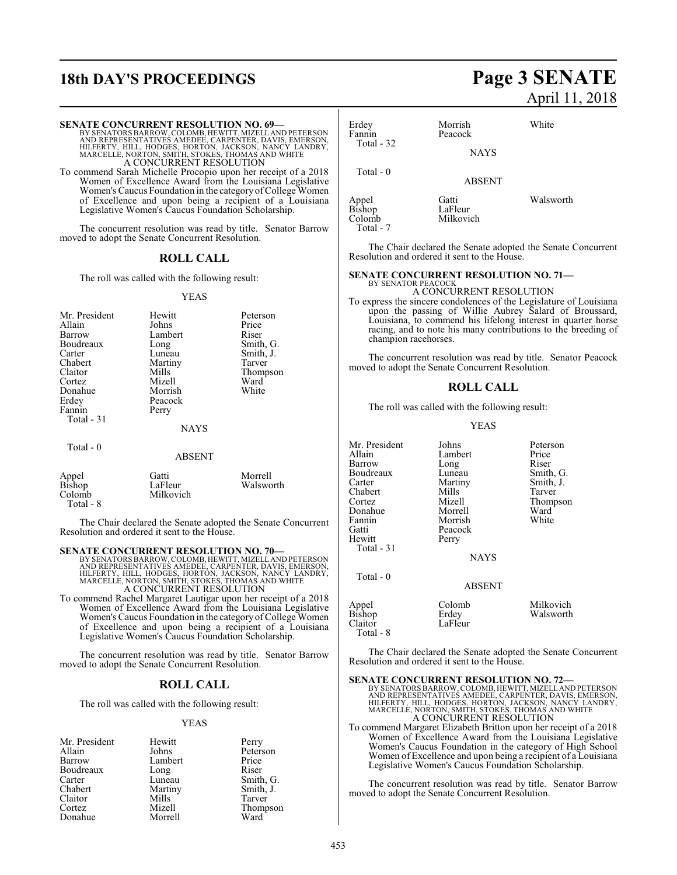## **18th DAY'S PROCEEDINGS Page 3 SENATE**

**SENATE CONCURRENT RESOLUTION NO. 69—**

#### BY SENATORS BARROW, COLOMB, HEWITT, MIZELL AND PETERSON<br>AND REPRESENTATIVES AMEDEE, CARPENTER, DAVIS, EMERSON,<br>HILFERTY, HILL, HODGES, HORTON, JACKSON, NANCY LANDRY,<br>MARCELLE, NORTON, SMITH, STOKES, THOMAS AND WHITE A CONCURRENT RESOLUTION To commend Sarah Michelle Procopio upon her receipt of a 2018 Women of Excellence Award from the Louisiana Legislative Women's Caucus Foundation in the category of College Women of Excellence and upon being a recipient of a Louisiana Legislative Women's Caucus Foundation Scholarship. The concurrent resolution was read by title. Senator Barrow moved to adopt the Senate Concurrent Resolution. **ROLL CALL** The roll was called with the following result: YEAS Mr. President Hewitt Peterson<br>Allain Johns Price Allain Johns Price Barrow Lambert Riser<br>Boudreaux Long Smith, G. Boudreaux Long<br>
Carter Luneau Carter Luneau Smith, J.<br>Chabert Martiny Tarver Chabert Martiny<br>Claitor Mills Mills Thompson<br>Mizell Ward Cortez Mizell Ward<br>
Donahue Morrish White Donahue<br>Erdev Peacock<br>Perry Fannin Total - 31 NAYS Total - 0 ABSENT Total - 0 Colomb Milkovich Total - 7 BY SENATOR PEACOCI

|                 | Gatti     | Morrell   |
|-----------------|-----------|-----------|
| Appel<br>Bishop | LaFleur   | Walsworth |
| Colomb          | Milkovich |           |
| Total - 8       |           |           |

The Chair declared the Senate adopted the Senate Concurrent Resolution and ordered it sent to the House.

#### **SENATE CONCURRENT RESOLUTION NO. 70—**

BY SENATORS BARROW, COLOMB, HEWITT, MIZELL AND PETERSON<br>AND REPRESENTATIVES AMEDEE, CARPENTER, DAVIS, EMERSON,<br>HILFERTY, HILL, HODGES, HORTON, JACKSON, NANCY LANDRY,<br>MARCELLE, NORTON, SMITH, STOKES, THOMAS AND WHITE A CONCURRENT RESOLUTION

To commend Rachel Margaret Lautigar upon her receipt of a 2018 Women of Excellence Award from the Louisiana Legislative Women's Caucus Foundation in the category of College Women of Excellence and upon being a recipient of a Louisiana Legislative Women's Caucus Foundation Scholarship.

The concurrent resolution was read by title. Senator Barrow moved to adopt the Senate Concurrent Resolution.

#### **ROLL CALL**

The roll was called with the following result:

#### YEAS

| Mr. President | Hewitt  | Perry     |
|---------------|---------|-----------|
| Allain        | Johns   | Peterson  |
| Barrow        | Lambert | Price     |
| Boudreaux     | Long    | Riser     |
| Carter        | Luneau  | Smith, G. |
| Chabert       | Martiny | Smith, J. |
| Claitor       | Mills   | Tarver    |
| Cortez        | Mizell  | Thompson  |
| Donahue       | Morrell | Ward      |

# April 11, 2018

| Erdey<br>Fannin<br>Total $-32$      | Morrish<br>Peacock<br><b>NAYS</b> | White     |
|-------------------------------------|-----------------------------------|-----------|
| Total - 0                           | <b>ABSENT</b>                     |           |
| Appel<br>Bishop<br>$C_2$ and $\sim$ | Gatti<br>LaFleur<br>M:11          | Walsworth |

The Chair declared the Senate adopted the Senate Concurrent Resolution and ordered it sent to the House.

#### **SENATE CONCURRENT RESOLUTION NO. 71—**

#### A CONCURRENT RESOLUTION

To express the sincere condolences of the Legislature of Louisiana upon the passing of Willie Aubrey Salard of Broussard, Louisiana, to commend his lifelong interest in quarter horse racing, and to note his many contributions to the breeding of champion racehorses.

The concurrent resolution was read by title. Senator Peacock moved to adopt the Senate Concurrent Resolution.

#### **ROLL CALL**

The roll was called with the following result:

#### YEAS

| Mr. President<br>Allain<br>Barrow<br>Boudreaux<br>Carter<br>Chabert<br>Cortez<br>Donahue<br>Fannin<br>Gatti<br>Hewitt<br>Total $-31$ | Johns<br>Lambert<br>Long<br>Luneau<br>Martiny<br>Mills<br>Mizell<br>Morrell<br>Morrish<br>Peacock<br>Perry | Peterson<br>Price<br>Riser<br>Smith, G.<br>Smith, J.<br>Tarver<br>Thompson<br>Ward<br>White |
|--------------------------------------------------------------------------------------------------------------------------------------|------------------------------------------------------------------------------------------------------------|---------------------------------------------------------------------------------------------|
|                                                                                                                                      | <b>NAYS</b>                                                                                                |                                                                                             |
| Total - 0                                                                                                                            | <b>ABSENT</b>                                                                                              |                                                                                             |
| Appel<br><b>Bishop</b><br>Claitor<br>Total - 8                                                                                       | Colomb<br>Erdey<br>LaFleur                                                                                 | Milkovich<br>Walsworth                                                                      |

The Chair declared the Senate adopted the Senate Concurrent Resolution and ordered it sent to the House.

SENATE CONCURRENT RESOLUTION NO. 72—BY SENATORS BARROW, COLOMB, HEWITT, MIZELL AND PETERSON AND REPRESENTATIVES AMEDEE, CARPENTER, DAVIS, EMERSON, HILFERTY, HILL, HODGES, HORTON, JACKSON, NANCY LANDRY, MARCELLE, NORTON, SM

To commend Margaret Elizabeth Britton upon her receipt of a 2018 Women of Excellence Award from the Louisiana Legislative Women's Caucus Foundation in the category of High School Women of Excellence and upon being a recipient of a Louisiana Legislative Women's Caucus Foundation Scholarship.

The concurrent resolution was read by title. Senator Barrow moved to adopt the Senate Concurrent Resolution.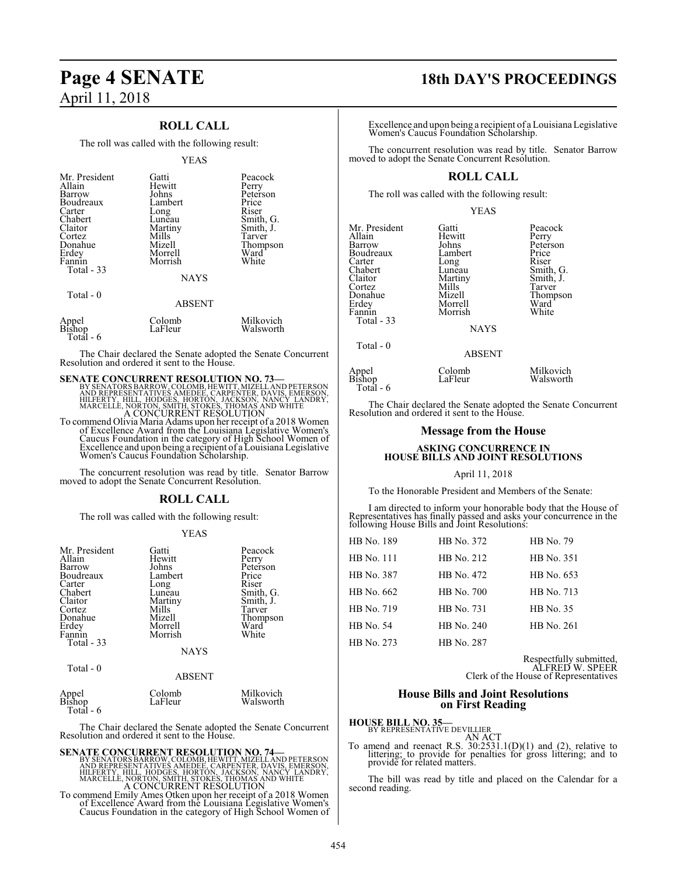### **ROLL CALL**

The roll was called with the following result:

| Mr. President<br>Allain<br>Barrow<br>Boudreaux<br>Carter<br>Chabert<br>Claitor<br>Cortez<br>Donahue<br>Erdey<br>Fannin<br>Total - 33<br>Total - 0 | Gatti<br>Hewitt<br>Johns<br>Lambert<br>Long<br>Luneau<br>Martiny<br>Mills<br>Mizell<br>Morrell<br>Morrish<br><b>NAYS</b><br>ABSENT | Peacock<br>Perry<br>Peterson<br>Price<br>Riser<br>Smith, G.<br>Smith, J.<br>Tarver<br>Thompson<br>Ward<br>White |
|---------------------------------------------------------------------------------------------------------------------------------------------------|------------------------------------------------------------------------------------------------------------------------------------|-----------------------------------------------------------------------------------------------------------------|
| Appel<br>Bishop<br>Total - 6                                                                                                                      | Colomb<br>LaFleur                                                                                                                  | Milkovich<br>Walsworth                                                                                          |

The Chair declared the Senate adopted the Senate Concurrent Resolution and ordered it sent to the House.

# **SENATE CONCURRENT RESOLUTION NO. 73—BY SENATORS BARROW, COLOMB, HEWITT, MIZELL AND FETERSON AND REPRESON HOLD AND RESOLUTION NO. 74 (FACT) HILFERY, HILL, HODGES, HORTON, JACKSON, NANCY LANDRY, MARCELLE, NORTON, SMITH, STO** A CONCURRENT RESOLUTION

To commend Olivia Maria Adams upon her receipt of a 2018 Women of Excellence Award from the Louisiana Legislative Women's Caucus Foundation in the category of High School Women of Excellence and upon being a recipient of a Louisiana Legislative Women's Caucus Foundation Scholarship.

The concurrent resolution was read by title. Senator Barrow moved to adopt the Senate Concurrent Resolution.

### **ROLL CALL**

The roll was called with the following result:

#### YEAS

| Mr. President<br>Allain<br>Barrow<br>Boudreaux<br>Carter<br>Chabert<br>Claitor<br>Cortez<br>Donahue<br>Erdey<br>Fannin<br>Total - 33 | Gatti<br>Hewitt<br>Johns<br>Lambert<br>Long<br>Lunēau<br>Martiny<br>Mills<br>Mizell<br>Morrell<br>Morrish<br><b>NAYS</b> | Peacock<br>Perry<br>Peterson<br>Price<br>Riser<br>Smith, G.<br>Smith, J.<br>Tarver<br>Thompson<br>Ward<br>White |
|--------------------------------------------------------------------------------------------------------------------------------------|--------------------------------------------------------------------------------------------------------------------------|-----------------------------------------------------------------------------------------------------------------|
| Total $-0$                                                                                                                           | <b>ABSENT</b>                                                                                                            |                                                                                                                 |

| Appel<br>Bishop | Colomb  | Milkovich |
|-----------------|---------|-----------|
|                 | LaFleur | Walsworth |
| Total - 6       |         |           |

The Chair declared the Senate adopted the Senate Concurrent Resolution and ordered it sent to the House.

SENATE CONCURRENT RESOLUTION NO. 74<br>BY SENATORS BARROW, COLOMB, HEWITT, MIZELL AND REPRESENTATIVES AMEDEE, CARPENTER, DAVIS, EMERSON, HILFERTY, HILL, HODGES, HORTON, JACKSON, NANCY LANDRY,<br>MARCELLE, NORTON, SMITH, STOKES,

To commend Emily Ames Otken upon her receipt of a 2018 Women of Excellence Award from the Louisiana Legislative Women's Caucus Foundation in the category of High School Women of

## **Page 4 SENATE 18th DAY'S PROCEEDINGS**

Excellence and upon being a recipient of a Louisiana Legislative Women's Caucus Foundation Scholarship.

The concurrent resolution was read by title. Senator Barrow moved to adopt the Senate Concurrent Resolution.

### **ROLL CALL**

The roll was called with the following result:

YEAS

| Mr. President   | Gatti         | Peacock   |
|-----------------|---------------|-----------|
| Allain          | Hewitt        | Perry     |
| Barrow          | Johns         | Peterson  |
| Boudreaux       | Lambert       | Price     |
| Carter          | Long          | Riser     |
| Chabert         | Luneau        | Smith, G. |
| Claitor         | Martiny       | Smith, J. |
| Cortez          | Mills         | Tarver    |
| Donahue         | Mizell        | Thompson  |
| Erdey           | Morrell       | Ward      |
| Fannin          | Morrish       | White     |
| Total - 33      |               |           |
|                 | <b>NAYS</b>   |           |
| $Total - 0$     |               |           |
|                 | <b>ABSENT</b> |           |
| Appel<br>Bishop | Colomb        | Milkovich |
|                 | LaFleur       | Walsworth |
| Total - 6       |               |           |

The Chair declared the Senate adopted the Senate Concurrent Resolution and ordered it sent to the House.

#### **Message from the House**

#### **ASKING CONCURRENCE IN HOUSE BILLS AND JOINT RESOLUTIONS**

#### April 11, 2018

To the Honorable President and Members of the Senate:

I am directed to inform your honorable body that the House of Representatives has finally passed and asks your concurrence in the following House Bills and Joint Resolutions:

| HB No. 189       | HB No. 372 | HB No. 79        |
|------------------|------------|------------------|
| HB No. 111       | HB No. 212 | HB No. 351       |
| HB No. 387       | HB No. 472 | HB No. 653       |
| HB No. 662       | HB No. 700 | HB No. 713       |
| HB No. 719       | HB No. 731 | <b>HB</b> No. 35 |
| <b>HB</b> No. 54 | HB No. 240 | HB No. 261       |
| HB No. 273       | HB No. 287 |                  |

Respectfully submitted, ALFRED W. SPEER

Clerk of the House of Representatives

#### **House Bills and Joint Resolutions on First Reading**

## **HOUSE BILL NO. 35—**<br>BY REPRESENTATIVE DEVILLIER

AN ACT<br>To amend and reenact R.S. 30:2531.1(D)(1) and (2), relative to littering; to provide for penalties for gross littering; and to<br>provide for related matters.

The bill was read by title and placed on the Calendar for a second reading.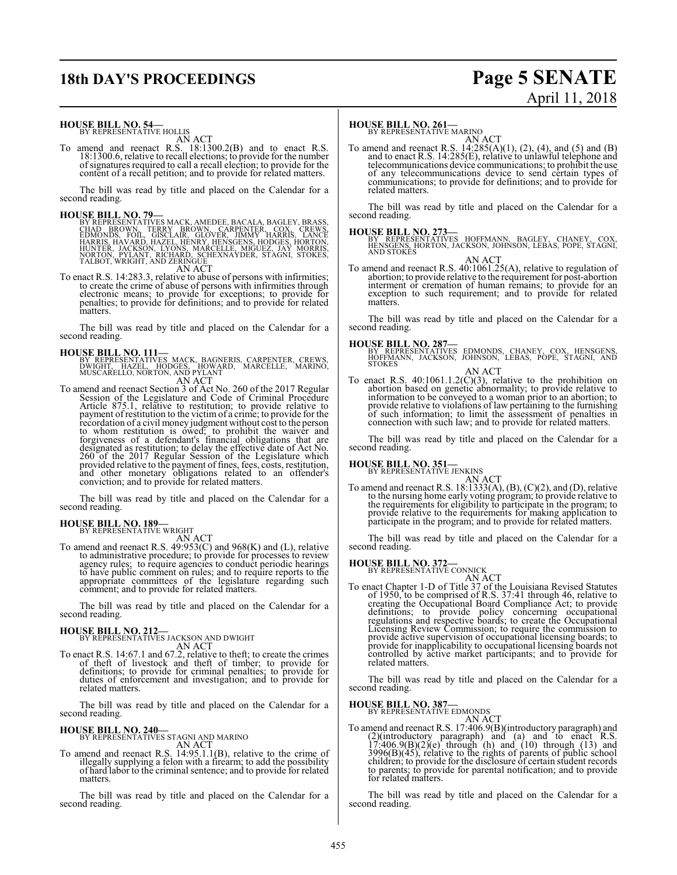# **18th DAY'S PROCEEDINGS Page 5 SENATE**

# April 11, 2018

# **HOUSE BILL NO. 54—**<br>BY REPRESENTATIVE HOLLIS<br>AN ACT

To amend and reenact R.S. 18:1300.2(B) and to enact R.S. 18:1300.6, relative to recall elections; to provide for the number ofsignatures required to call a recall election; to provide for the content of a recall petition; and to provide for related matters.

The bill was read by title and placed on the Calendar for a second reading.

**HOUSE BILL NO. 79.**<br>
BY REPRESENTATIVES MACK, AMEDEE, BACALA, BAGLEY, BRASS, CHAD BROWN, TERRY BROWN, CARPENTER, COX, CREWS, EDMONDS, FOIL, GISCLAIR, LANCE BROWN, THARRIS, LANCE HARRIS, HORTON, HUNTER, JACKSON, LYONS, MAR

To enact R.S. 14:283.3, relative to abuse of persons with infirmities; to create the crime of abuse of persons with infirmities through electronic means; to provide for exceptions; to provide for penalties; to provide for definitions; and to provide for related matters.

The bill was read by title and placed on the Calendar for a second reading.

**HOUSE BILL NO. 111—**<br>BY REPRESENTATIVES MACK, BAGNERIS, CARPENTER, CREWS,<br>DWIGHT, HAZEL, HODGES, HOWARD, MARCELLE, MARINO,<br>MUSCARELLO, NORTON, AND PYLANT

AN ACT<br>
To amend and reenact Section 3 of Act No. 260 of the 2017 Regular<br>
Session of the Legislature and Code of Criminal Procedure<br>
Article 875.1, relative to restitution; to provide relative to<br>
payment of restitution t designated as restitution; to delay the effective date of Act No. 260 of the 2017 Regular Session of the Legislature which provided relative to the payment of fines, fees, costs, restitution, and other monetary obligations related to an offender's conviction; and to provide for related matters.

The bill was read by title and placed on the Calendar for a second reading.

## **HOUSE BILL NO. 189–**<br>BY REPRESENTATIVE WRIGHT

AN ACT<br>To amend and reenact R.S. 49:953(C) and 968(K) and (L), relative to administrative procedure; to provide for processes to review agency rules; to require agencies to conduct periodic hearings to have public comment on rules; and to require reports to the appropriate committees of the legislature regarding such comment; and to provide for related matters.

The bill was read by title and placed on the Calendar for a second reading.

**HOUSE BILL NO. 212—**<br>BY REPRESENTATIVES JACKSON AND DWIGHT

AN ACT<br>To enact R.S. 14:67.1 and 67.2, relative to theft; to create the crimes<br>of theft of livestock and theft of timber; to provide for<br>definitions; to provide for criminal penalties; to provide for<br>duties of enforcement related matters.

The bill was read by title and placed on the Calendar for a second reading.

## **HOUSE BILL NO. 240—** BY REPRESENTATIVES STAGNI AND MARINO

AN ACT<br>To amend and reenact R.S. 14:95.1.1(B), relative to the crime of illegally supplying a felon with a firearm; to add the possibility of hard labor to the criminal sentence; and to provide for related matters.

The bill was read by title and placed on the Calendar for a second reading.

## **HOUSE BILL NO. 261-**<br>BY REPRESENTATIVE MARINO

AN ACT<br>To amend and reenact R.S. 14:285(A)(1), (2), (4), and (5) and (B)<br>and to enact R.S. 14:285(E), relative to unlawful telephone and telecommunications device communications; to prohibit the use of any telecommunications device to send certain types of communications; to provide for definitions; and to provide for related matters.

The bill was read by title and placed on the Calendar for a second reading.

**HOUSE BILL NO. 273—** BY REPRESENTATIVES HOFFMANN, BAGLEY, CHANEY, COX, HENSGENS, HORTON, JACKSON, JOHNSON, LEBAS, POPE, STAGNI, AND STOKES

AN ACT<br>To amend and reenact R.S. 40:1061.25(A), relative to regulation of<br>abortion; to provide relative to the requirement for post-abortion interment or cremation of human remains; to provide for an exception to such requirement; and to provide for related matters

The bill was read by title and placed on the Calendar for a second reading.

**HOUSE BILL NO. 287—** BY REPRESENTATIVES EDMONDS, CHANEY, COX, HENSGENS, HOFFMANN, JACKSON, JOHNSON, LEBAS, POPE, STAGNI, AND STOKES

AN ACT<br>To enact R.S. 40:1061.1.2(C)(3), relative to the prohibition on<br>abortion based on genetic abormality; to provide relative to<br>information to be conveyed to a woman prior to an abortion; to<br>provide relative to violat of such information; to limit the assessment of penalties in connection with such law; and to provide for related matters.

The bill was read by title and placed on the Calendar for a second reading.

## **HOUSE BILL NO. 351-**<br>BY REPRESENTATIVE JENKINS

AN ACT<br>fo amend and reenact R.S. 18:1333(A), (B), (C)(2), and (D), relative<br>to the nursing home early voting program; to provide relative to<br>the requirements for eligibility to participate in the program; to<br>provide relati

The bill was read by title and placed on the Calendar for a second reading.

## **HOUSE BILL NO. 372-**<br>BY REPRESENTATIVE CONNICK

AN ACT<br>
AN ACT<br>
To enact Chapter 1-D of Title 37 of the Louisiana Revised Statutes<br>
of 1950, to be comprised of R.S. 37:41 through 46, relative to<br>
creating the Occupational Board Compliance Act; to provide<br>
definitions; t provide active supervision of occupational licensing boards; to provide for inapplicability to occupational licensing boards not controlled by active market participants; and to provide for related matters.

The bill was read by title and placed on the Calendar for a second reading.

# **HOUSE BILL NO. 387—**<br>BY REPRESENTATIVE EDMONDS

AN ACT<br>
To amend and reenact R.S. 17:406.9(B)(introductory paragraph) and<br>
(2)(introductory paragraph) and (a) and to enact R.S.<br>
17:406.9(B)(2)(e) through (h) and (10) through (13) and<br>
3996(B)(45), relative to the right

The bill was read by title and placed on the Calendar for a second reading.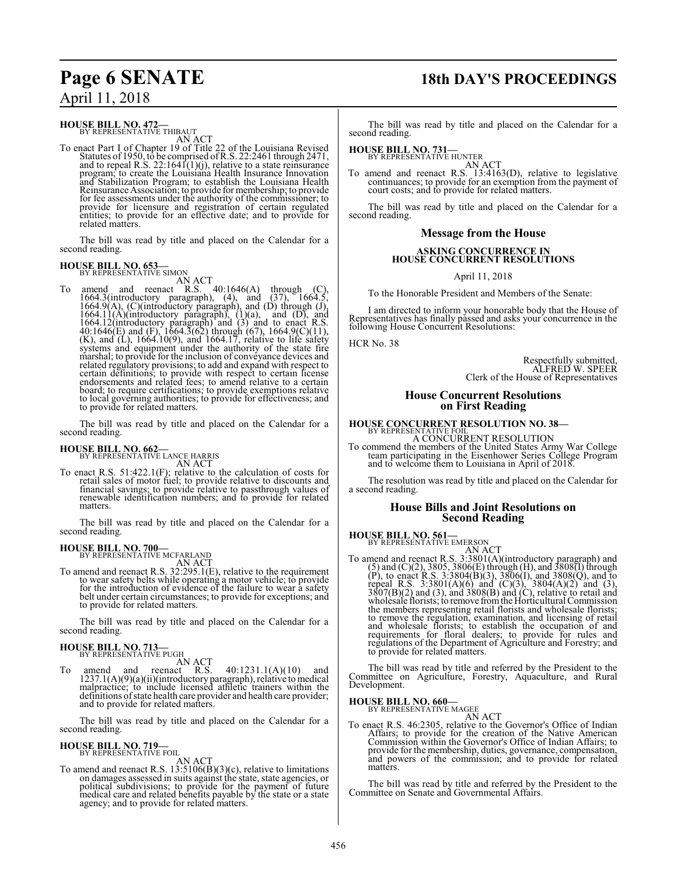## **Page 6 SENATE 18th DAY'S PROCEEDINGS**

## **HOUSE BILL NO. 472—**<br>BY REPRESENTATIVE THIBAUT

AN ACT

To enact Part I of Chapter 19 of Title 22 of the Louisiana Revised<br>Statutes of 1950, to be comprised of R.S. 22:2461 through 2471,<br>and to repeal R.S. 22:1641(1)(j), relative to a state reinsurance<br>program; to create the Lo and Stabilization Program; to establish the Louisiana Health Reinsurance Association; to provide for membership; to provide for fee assessments under the authority of the commissioner; to provide for licensure and registration of certain regulated entities; to provide for an effective date; and to provide for related matters.

The bill was read by title and placed on the Calendar for a second reading.

## **HOUSE BILL NO. 653-**<br>BY REPRESENTATIVE SIMON

AN ACT<br>
To amend and reenact R.S. 40:1646(A) through (C),<br>
1664.3(introductory paragraph), (4), and (37), 1664.5,<br>
1664.9(A), (C)(introductory paragraph), and (D) through (J),<br>
1664.11(A)(introductory paragraph), (1)(a), to local governing authorities; to provide for effectiveness; and to provide for related matters.

The bill was read by title and placed on the Calendar for a second reading.

## **HOUSE BILL NO. 662—**<br>BY REPRESENTATIVE LANCE HARRIS

AN ACT

To enact R.S. 51:422.1(F); relative to the calculation of costs for retail sales of motor fuel; to provide relative to discounts and financial savings; to provide relative to passthrough values of renewable identification numbers; and to provide for related matters.

The bill was read by title and placed on the Calendar for a second reading.

## **HOUSE BILL NO. 700—**<br>BY REPRESENTATIVE MCFARLAND

AN ACT<br>To amend and reenact R.S. 32:295.1(E), relative to the requirement to wear safety belts while operating a motor vehicle; to provide for the introduction of evidence of the failure to wear a safety belt under certain circumstances; to provide for exceptions; and to provide for related matters.

The bill was read by title and placed on the Calendar for a second reading.

**HOUSE BILL NO. 713**<br>BY REPRESENTATIVE PUGH

AN ACT<br>reenact R.S.

To amend and reenact R.S. 40:1231.1(A)(10) and 1237.1(A)(9)(a)(ii)(introductory paragraph), relative to medical malpractice; to include licensed athletic trainers within the definitions of state health care provider and health care provider; and to provide for related matters.

The bill was read by title and placed on the Calendar for a second reading.

## **HOUSE BILL NO. 719—**<br>BY REPRESENTATIVE FOIL

AN ACT

To amend and reenact R.S.  $13:5106(B)(3)(c)$ , relative to limitations on damages assessed in suits against the state, state agencies, or political subdivisions; to provide for the payment of future medical care and related benefits payable by the state or a state agency; and to provide for related matters.

The bill was read by title and placed on the Calendar for a second reading.

**HOUSE BILL NO. 731-**<br>BY REPRESENTATIVE HUNTER

AN ACT<br>To amend and reenact R.S. 13:4163(D), relative to legislative<br>continuances; to provide for an exemption from the payment of<br>court costs; and to provide for related matters.

The bill was read by title and placed on the Calendar for a second reading.

### **Message from the House**

# **ASKING CONCURRENCE IN HOUSE CONCURRENT RESOLUTIONS**

April 11, 2018

To the Honorable President and Members of the Senate:

I am directed to inform your honorable body that the House of Representatives has finally passed and asks your concurrence in the following House Concurrent Resolutions:

HCR No. 38

Respectfully submitted, ALFRED W. SPEER Clerk of the House of Representatives

#### **House Concurrent Resolutions on First Reading**

**HOUSE CONCURRENT RESOLUTION NO. 38-**

A CONCURRENT RESOLUTION

To commend the members of the United States Army War College team participating in the Eisenhower Series College Program and to welcome them to Louisiana in April of 2018.

The resolution was read by title and placed on the Calendar for a second reading.

#### **House Bills and Joint Resolutions on Second Reading**

**HOUSE BILL NO. 561-**<br>BY REPRESENTATIVE EMERSON

AN ACT<br>
To amend and reenact R.S. 3:3801(A)(introductory paragraph) and<br>
(5) and (C)(2), 3805, 3806(E) through (H), and 3808(I) through<br>
(P), to enact R.S. 3:3804(B)(3), 3806(I), and 3808(Q), and to<br>
repeal R.S. 3:3801(A) the members representing retail florists and wholesale florists; to remove the regulation, examination, and licensing of retail and wholesale florists; to establish the occupation of and requirements for floral dealers; to provide for rules and regulations of the Department of Agriculture and Forestry; and to provide for related matters.

The bill was read by title and referred by the President to the Committee on Agriculture, Forestry, Aquaculture, and Rural Development.

## **HOUSE BILL NO. 660-**<br>BY REPRESENTATIVE MAGEE

AN ACT

To enact R.S. 46:2305, relative to the Governor's Office of Indian<br>Affairs; to provide for the creation of the Native American<br>Commission within the Governor's Office of Indian Affairs; to<br>provide for the membership, dutie and powers of the commission; and to provide for related matters.

The bill was read by title and referred by the President to the Committee on Senate and Governmental Affairs.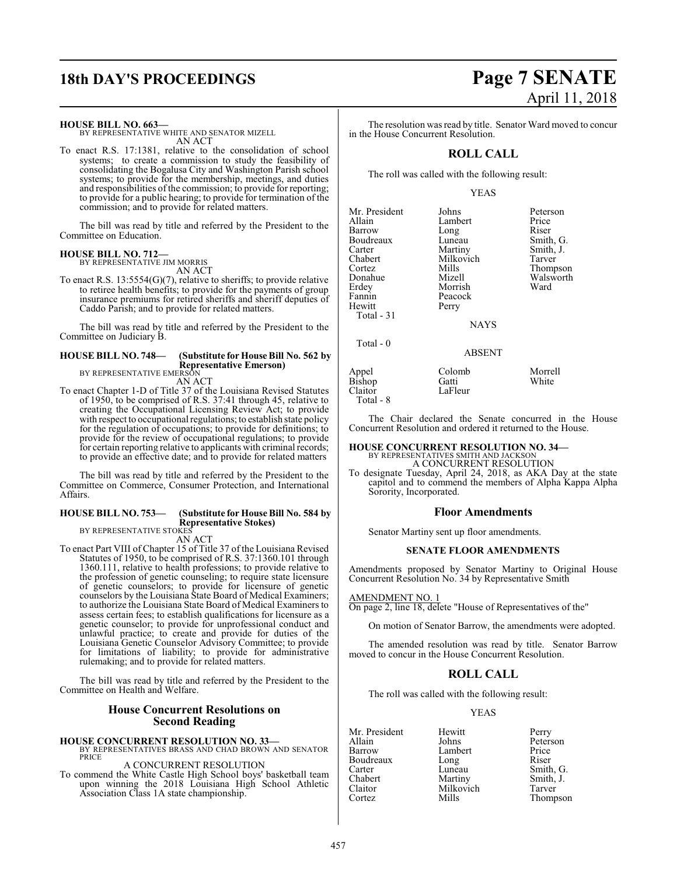**HOUSE BILL NO. 663—**

BY REPRESENTATIVE WHITE AND SENATOR MIZELL AN ACT

To enact R.S. 17:1381, relative to the consolidation of school systems; to create a commission to study the feasibility of consolidating the Bogalusa City and Washington Parish school systems; to provide for the membership, meetings, and duties and responsibilities of the commission; to provide for reporting; to provide for a public hearing; to provide for termination of the commission; and to provide for related matters.

The bill was read by title and referred by the President to the Committee on Education.

#### **HOUSE BILL NO. 712—** BY REPRESENTATIVE JIM MORRIS

AN ACT

To enact R.S. 13:5554(G)(7), relative to sheriffs; to provide relative to retiree health benefits; to provide for the payments of group insurance premiums for retired sheriffs and sheriff deputies of Caddo Parish; and to provide for related matters.

The bill was read by title and referred by the President to the Committee on Judiciary B.

#### **HOUSE BILL NO. 748— (Substitute for House Bill No. 562 by Representative Emerson)** BY REPRESENTATIVE EMERSON

AN ACT

To enact Chapter 1-D of Title 37 of the Louisiana Revised Statutes of 1950, to be comprised of R.S. 37:41 through 45, relative to creating the Occupational Licensing Review Act; to provide with respect to occupational regulations; to establish state policy for the regulation of occupations; to provide for definitions; to provide for the review of occupational regulations; to provide for certain reporting relative to applicants with criminal records; to provide an effective date; and to provide for related matters

The bill was read by title and referred by the President to the Committee on Commerce, Consumer Protection, and International Affairs.

## **HOUSE BILL NO. 753— (Substitute for House Bill No. 584 by Representative Stokes)** BY REPRESENTATIVE STOKES

AN ACT

To enact Part VIII of Chapter 15 of Title 37 of the Louisiana Revised Statutes of 1950, to be comprised of R.S. 37:1360.101 through 1360.111, relative to health professions; to provide relative to the profession of genetic counseling; to require state licensure of genetic counselors; to provide for licensure of genetic counselors by the Louisiana State Board of Medical Examiners; to authorize the Louisiana State Board of Medical Examiners to assess certain fees; to establish qualifications for licensure as a genetic counselor; to provide for unprofessional conduct and unlawful practice; to create and provide for duties of the Louisiana Genetic Counselor Advisory Committee; to provide for limitations of liability; to provide for administrative rulemaking; and to provide for related matters.

The bill was read by title and referred by the President to the Committee on Health and Welfare.

## **House Concurrent Resolutions on Second Reading**

### **HOUSE CONCURRENT RESOLUTION NO. 33—** BY REPRESENTATIVES BRASS AND CHAD BROWN AND SENATOR PRICE

#### A CONCURRENT RESOLUTION

To commend the White Castle High School boys' basketball team upon winning the 2018 Louisiana High School Athletic Association Class 1A state championship.

## **18th DAY'S PROCEEDINGS Page 7 SENATE** April 11, 2018

The resolution was read by title. Senator Ward moved to concur in the House Concurrent Resolution.

### **ROLL CALL**

The roll was called with the following result:

#### YEAS

| Mr. President | Johns         | Peterson  |
|---------------|---------------|-----------|
| Allain        | Lambert       | Price     |
| Barrow        | Long          | Riser     |
| Boudreaux     | Luneau        | Smith, G. |
| Carter        | Martiny       | Smith, J. |
| Chabert       | Milkovich     | Tarver    |
| Cortez        | Mills         | Thompson  |
| Donahue       | Mizell        | Walsworth |
| Erdey         | Morrish       | Ward      |
| Fannin        | Peacock       |           |
| Hewitt        | Perry         |           |
| Total - 31    |               |           |
|               | <b>NAYS</b>   |           |
| Total $-0$    |               |           |
|               | <b>ABSENT</b> |           |
| Appel         | Colomb        | Morrell   |
| <b>Bishop</b> | Gatti         | White     |
| Claitor       | LaFleur       |           |

Total - 8

The Chair declared the Senate concurred in the House Concurrent Resolution and ordered it returned to the House.

## **HOUSE CONCURRENT RESOLUTION NO. 34—** BY REPRESENTATIVES SMITH AND JACKSON

A CONCURRENT RESOLUTION

To designate Tuesday, April 24, 2018, as AKA Day at the state capitol and to commend the members of Alpha Kappa Alpha Sorority, Incorporated.

#### **Floor Amendments**

Senator Martiny sent up floor amendments.

#### **SENATE FLOOR AMENDMENTS**

Amendments proposed by Senator Martiny to Original House Concurrent Resolution No. 34 by Representative Smith

AMENDMENT NO. 1

On page 2, line 18, delete "House of Representatives of the"

On motion of Senator Barrow, the amendments were adopted.

The amended resolution was read by title. Senator Barrow moved to concur in the House Concurrent Resolution.

### **ROLL CALL**

The roll was called with the following result:

YEAS

Mr. President Hewitt Perry<br>Allain Johns Peters Allain Johns Peterson Boudreaux Long<br>Carter Luneau Carter Luneau Smith, G.<br>
Chabert Martiny Smith, J. Chabert Martiny Smith, J.<br>Claitor Milkovich Tarver Claitor Milkovich<br>Cortez Mills

Lambert Price<br>
Long Riser Thompson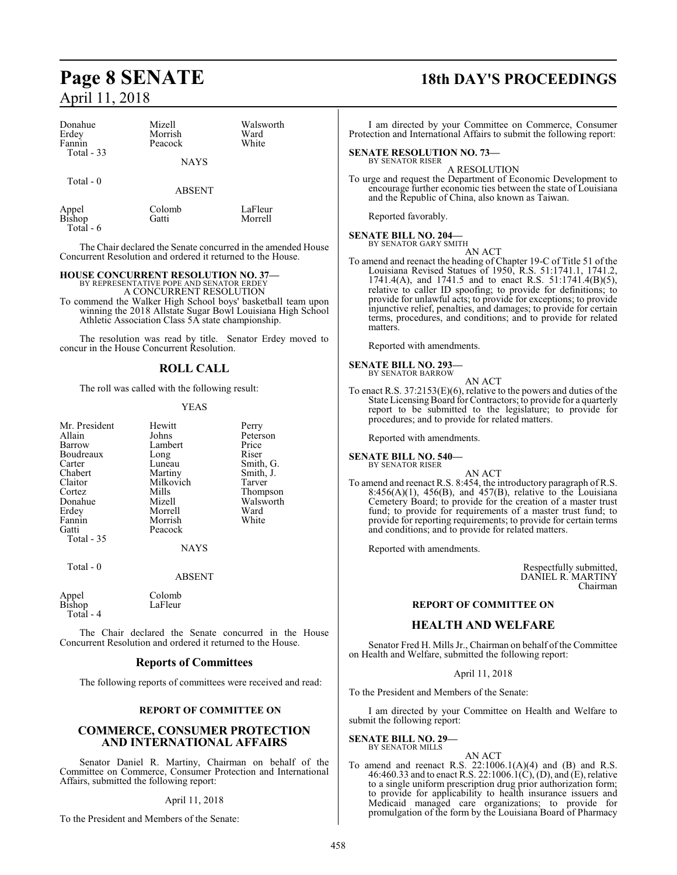| Donahue<br>Erdey<br>Fannin<br>Total - 33 | Mizell<br>Morrish<br>Peacock<br><b>NAYS</b> | Walsworth<br>Ward<br>White |
|------------------------------------------|---------------------------------------------|----------------------------|
| Total $-0$                               | <b>ABSENT</b>                               |                            |
| Appel<br>Bishop                          | Colomb<br>Gatti                             | LaFleur<br>Morrell         |

Total - 6

The Chair declared the Senate concurred in the amended House Concurrent Resolution and ordered it returned to the House.

## **HOUSE CONCURRENT RESOLUTION NO. 37—** BY REPRESENTATIVE POPE AND SENATOR ERDEY

A CONCURRENT RESOLUTION

To commend the Walker High School boys' basketball team upon winning the 2018 Allstate Sugar Bowl Louisiana High School Athletic Association Class 5A state championship.

The resolution was read by title. Senator Erdey moved to concur in the House Concurrent Resolution.

### **ROLL CALL**

The roll was called with the following result:

#### YEAS

| Mr. President | Hewitt    | Perry  |
|---------------|-----------|--------|
| Allain        | Johns     | Peters |
| Barrow        | Lambert   | Price  |
| Boudreaux     | Long      | Riser  |
| Carter        | Luneau    | Smith  |
| Chabert       | Martiny   | Smith  |
| Claitor       | Milkovich | Tarver |
| Cortez        | Mills     | Thom   |
| Donahue       | Mizell    | Walsy  |
| Erdey         | Morrell   | Ward   |
| Fannin        | Morrish   | White  |
| Gatti         | Peacock   |        |
| Total - 35    |           |        |
|               |           |        |

hns Peterson<br>
mbert Price neau Smith, G.<br>
artiny Smith, J. Smith, J. ilkovich Tarver<br>
ills Thomp Cortez Mills Thompson izell Walsworth<br>
orrell Ward

Total - 0

NAYS

#### ABSENT

Appel Colomb<br>Bishop LaFleur LaFleur Total - 4

The Chair declared the Senate concurred in the House Concurrent Resolution and ordered it returned to the House.

#### **Reports of Committees**

The following reports of committees were received and read:

#### **REPORT OF COMMITTEE ON**

#### **COMMERCE, CONSUMER PROTECTION AND INTERNATIONAL AFFAIRS**

Senator Daniel R. Martiny, Chairman on behalf of the Committee on Commerce, Consumer Protection and International Affairs, submitted the following report:

#### April 11, 2018

To the President and Members of the Senate:

## **Page 8 SENATE 18th DAY'S PROCEEDINGS**

I am directed by your Committee on Commerce, Consumer Protection and International Affairs to submit the following report:

#### **SENATE RESOLUTION NO. 73—** BY SENATOR RISER

A RESOLUTION

To urge and request the Department of Economic Development to encourage further economic ties between the state of Louisiana and the Republic of China, also known as Taiwan.

Reported favorably.

#### **SENATE BILL NO. 204—** BY SENATOR GARY SMITH

AN ACT

To amend and reenact the heading of Chapter 19-C of Title 51 of the Louisiana Revised Statues of 1950, R.S. 51:1741.1, 1741.2, 1741.4(A), and 1741.5 and to enact R.S. 51:1741.4(B)(5), relative to caller ID spoofing; to provide for definitions; to provide for unlawful acts; to provide for exceptions; to provide injunctive relief, penalties, and damages; to provide for certain terms, procedures, and conditions; and to provide for related matters.

Reported with amendments.

#### **SENATE BILL NO. 293—** BY SENATOR BARROW

AN ACT

To enact R.S. 37:2153(E)(6), relative to the powers and duties of the State Licensing Board for Contractors; to provide for a quarterly report to be submitted to the legislature; to provide for procedures; and to provide for related matters.

Reported with amendments.

**SENATE BILL NO. 540—** BY SENATOR RISER

AN ACT

To amend and reenact R.S. 8:454, the introductory paragraph of R.S.  $8:456(A)(1)$ ,  $456(B)$ , and  $457(B)$ , relative to the Louisiana Cemetery Board; to provide for the creation of a master trust fund; to provide for requirements of a master trust fund; to provide for reporting requirements; to provide for certain terms and conditions; and to provide for related matters.

Reported with amendments.

Respectfully submitted, DANIEL R. MARTINY Chairman

#### **REPORT OF COMMITTEE ON**

#### **HEALTH AND WELFARE**

Senator Fred H. Mills Jr., Chairman on behalf of the Committee on Health and Welfare, submitted the following report:

#### April 11, 2018

To the President and Members of the Senate:

I am directed by your Committee on Health and Welfare to submit the following report:

**SENATE BILL NO. 29—** BY SENATOR MILLS

- 
- AN ACT To amend and reenact R.S.  $22:1006.1(A)(4)$  and  $(B)$  and R.S. 46:460.33 and to enact R.S. 22:1006.1(C), (D), and (E), relative to a single uniform prescription drug prior authorization form; to provide for applicability to health insurance issuers and Medicaid managed care organizations; to provide for promulgation of the form by the Louisiana Board of Pharmacy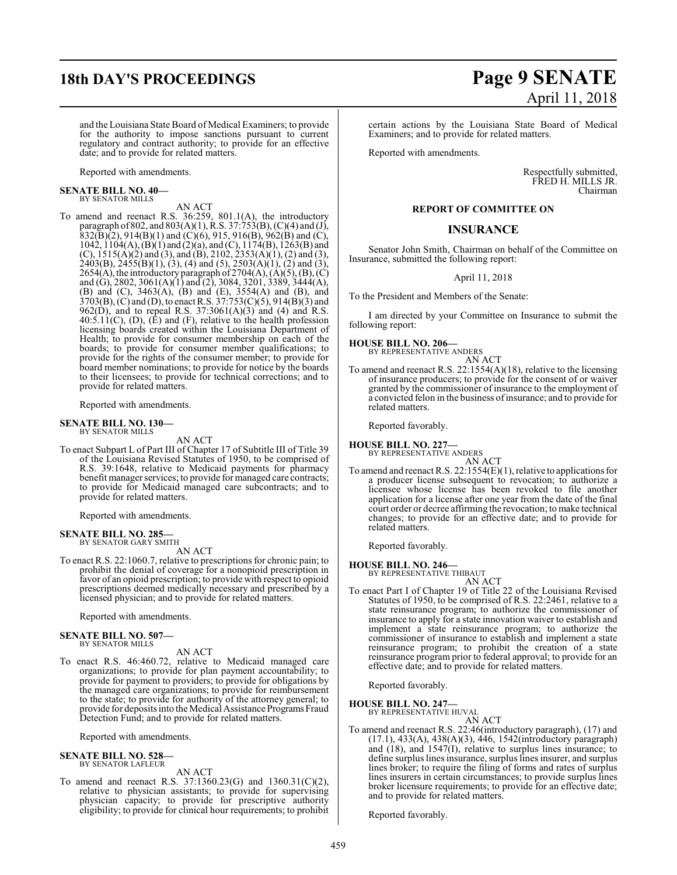and the Louisiana State Board of Medical Examiners; to provide for the authority to impose sanctions pursuant to current regulatory and contract authority; to provide for an effective date; and to provide for related matters.

Reported with amendments.

## **SENATE BILL NO. 40—**

BY SENATOR MILLS AN ACT

To amend and reenact R.S. 36:259, 801.1(A), the introductory paragraph of 802, and 803(A)(1), R.S. 37:753(B), (C)(4) and (J),  $832(\overline{B})(2)$ ,  $914(B)(1)$  and  $(\overline{C})(6)$ ,  $915$ ,  $916(B)$ ,  $962(B)$  and  $(\overline{C})$ , 1042, 1104(A), (B)(1) and (2)(a), and (C), 1174(B), 1263(B) and (C),  $1515(A)(2)$  and (3), and (B),  $2102$ ,  $2353(A)(1)$ , (2) and (3),  $2403(B)$ ,  $2455(B)(1)$ ,  $(3)$ ,  $(4)$  and  $(5)$ ,  $2503(A)(1)$ ,  $(2)$  and  $(3)$ , 2654(A), the introductory paragraph of 2704(A), (A)(5), (B), (C) and (G), 2802, 3061(A)(1) and (2), 3084, 3201, 3389, 3444(A), (B) and (C), 3463(A), (B) and (E), 3554(A) and (B), and 3703(B), (C) and (D), to enact R.S. 37:753(C)(5), 914(B)(3) and 962(D), and to repeal R.S. 37:3061(A)(3) and (4) and R.S.  $40:5.11(C)$ , (D), (E) and (F), relative to the health profession licensing boards created within the Louisiana Department of Health; to provide for consumer membership on each of the boards; to provide for consumer member qualifications; to provide for the rights of the consumer member; to provide for board member nominations; to provide for notice by the boards to their licensees; to provide for technical corrections; and to provide for related matters.

Reported with amendments.

#### **SENATE BILL NO. 130—** BY SENATOR MILLS

AN ACT

To enact Subpart L of Part III of Chapter 17 of Subtitle III of Title 39 of the Louisiana Revised Statutes of 1950, to be comprised of R.S. 39:1648, relative to Medicaid payments for pharmacy benefit manager services; to provide for managed care contracts; to provide for Medicaid managed care subcontracts; and to provide for related matters.

Reported with amendments.

#### **SENATE BILL NO. 285—** BY SENATOR GARY SMITH

AN ACT

To enact R.S. 22:1060.7, relative to prescriptions for chronic pain; to prohibit the denial of coverage for a nonopioid prescription in favor of an opioid prescription; to provide with respect to opioid prescriptions deemed medically necessary and prescribed by a licensed physician; and to provide for related matters.

Reported with amendments.

#### **SENATE BILL NO. 507—** BY SENATOR MILLS

AN ACT

To enact R.S. 46:460.72, relative to Medicaid managed care organizations; to provide for plan payment accountability; to provide for payment to providers; to provide for obligations by the managed care organizations; to provide for reimbursement to the state; to provide for authority of the attorney general; to provide for deposits into the Medical Assistance Programs Fraud Detection Fund; and to provide for related matters.

Reported with amendments.

#### **SENATE BILL NO. 528—** BY SENATOR LAFLEUR

AN ACT

To amend and reenact R.S. 37:1360.23(G) and 1360.31(C)(2), relative to physician assistants; to provide for supervising physician capacity; to provide for prescriptive authority eligibility; to provide for clinical hour requirements; to prohibit

## **18th DAY'S PROCEEDINGS Page 9 SENATE** April 11, 2018

certain actions by the Louisiana State Board of Medical Examiners; and to provide for related matters.

Reported with amendments.

Respectfully submitted, FRED H. MILLS JR. Chairman

#### **REPORT OF COMMITTEE ON**

#### **INSURANCE**

Senator John Smith, Chairman on behalf of the Committee on Insurance, submitted the following report:

April 11, 2018

To the President and Members of the Senate:

I am directed by your Committee on Insurance to submit the following report:

## **HOUSE BILL NO. 206—** BY REPRESENTATIVE ANDERS

AN ACT

To amend and reenact R.S. 22:1554(A)(18), relative to the licensing of insurance producers; to provide for the consent of or waiver granted by the commissioner of insurance to the employment of a convicted felon in the business ofinsurance; and to provide for related matters.

Reported favorably.

**HOUSE BILL NO. 227—** BY REPRESENTATIVE ANDERS

AN ACT To amend and reenact R.S. 22:1554(E)(1), relative to applications for a producer license subsequent to revocation; to authorize a licensee whose license has been revoked to file another application for a license after one year from the date of the final court order or decree affirming the revocation; to make technical changes; to provide for an effective date; and to provide for related matters.

Reported favorably.

**HOUSE BILL NO. 246—** BY REPRESENTATIVE THIBAUT

AN ACT

To enact Part I of Chapter 19 of Title 22 of the Louisiana Revised Statutes of 1950, to be comprised of R.S. 22:2461, relative to a state reinsurance program; to authorize the commissioner of insurance to apply for a state innovation waiver to establish and implement a state reinsurance program; to authorize the commissioner of insurance to establish and implement a state reinsurance program; to prohibit the creation of a state reinsurance program prior to federal approval; to provide for an effective date; and to provide for related matters.

Reported favorably.

#### **HOUSE BILL NO. 247—**

BY REPRESENTATIVE HUVAL AN ACT

To amend and reenact R.S. 22:46(introductory paragraph), (17) and (17.1), 433(A), 438(A)(3), 446, 1542(introductory paragraph) and (18), and 1547(I), relative to surplus lines insurance; to define surplus lines insurance, surplus lines insurer, and surplus lines broker; to require the filing of forms and rates of surplus lines insurers in certain circumstances; to provide surplus lines broker licensure requirements; to provide for an effective date; and to provide for related matters.

Reported favorably.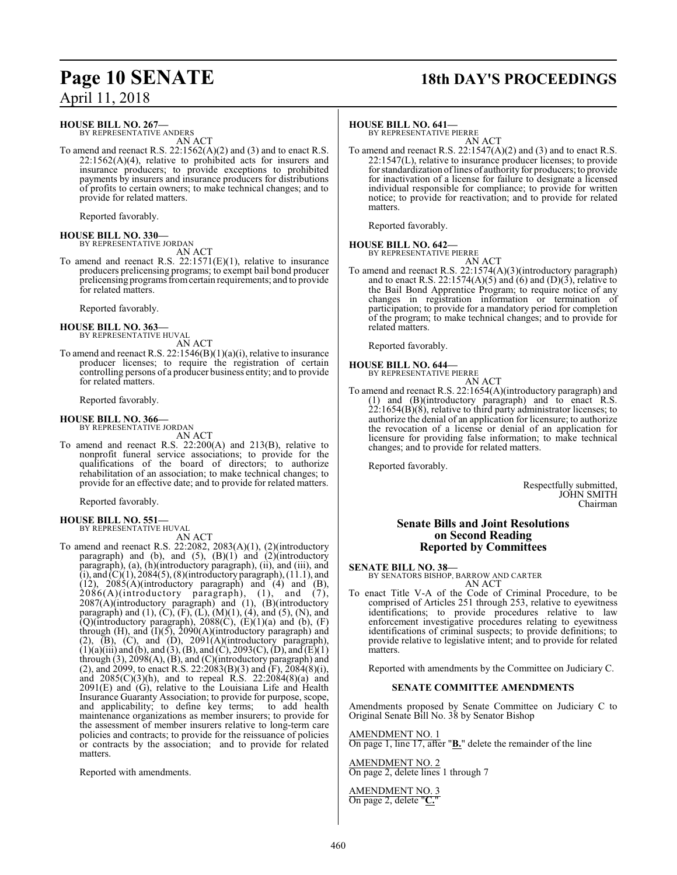## **Page 10 SENATE 18th DAY'S PROCEEDINGS**

#### **HOUSE BILL NO. 267—**

BY REPRESENTATIVE ANDERS AN ACT

To amend and reenact R.S. 22:1562(A)(2) and (3) and to enact R.S.  $22:1562(A)(4)$ , relative to prohibited acts for insurers and insurance producers; to provide exceptions to prohibited payments by insurers and insurance producers for distributions of profits to certain owners; to make technical changes; and to provide for related matters.

Reported favorably.

**HOUSE BILL NO. 330—** BY REPRESENTATIVE JORDAN

AN ACT

To amend and reenact R.S. 22:1571(E)(1), relative to insurance producers prelicensing programs; to exempt bail bond producer prelicensing programs fromcertain requirements; and to provide for related matters.

Reported favorably.

#### **HOUSE BILL NO. 363—** BY REPRESENTATIVE HUVAL

AN ACT

To amend and reenact R.S. 22:1546(B)(1)(a)(i), relative to insurance producer licenses; to require the registration of certain controlling persons of a producer business entity; and to provide for related matters.

Reported favorably.

## **HOUSE BILL NO. 366—** BY REPRESENTATIVE JORDAN

AN ACT

To amend and reenact R.S. 22:200(A) and 213(B), relative to nonprofit funeral service associations; to provide for the qualifications of the board of directors; to authorize rehabilitation of an association; to make technical changes; to provide for an effective date; and to provide for related matters.

Reported favorably.

## **HOUSE BILL NO. 551—** BY REPRESENTATIVE HUVAL

AN ACT To amend and reenact R.S. 22:2082, 2083(A)(1), (2)(introductory paragraph) and (b), and  $(5)$ ,  $(B)(1)$  and  $(2)$ (introductory paragraph), (a), (h)(introductory paragraph), (ii), and (iii), and  $(i)$ , and  $(C)(1)$ , 2084(5), (8)(introductory paragraph), (11.1), and  $(12)$ ,  $2085(A)$ (introductory paragraph) and  $(4)$  and  $(B)$ , 2086(A)(introductory paragraph), (1), and (7), 2087(A)(introductory paragraph) and (1), (B)(introductory paragraph) and  $(1)$ ,  $(C)$ ,  $(F)$ ,  $(L)$ ,  $(M)(1)$ ,  $(4)$ , and  $(5)$ ,  $(N)$ , and  $(Q)$ (introductory paragraph), 2088 $(C)$ ,  $(E)(1)(a)$  and  $(b)$ ,  $(F)$ through  $(H)$ , and  $(I)(5)$ , 2090 $(A)(introductiony$  paragraph) and  $(2)$ ,  $(B)$ ,  $(C)$ , and  $(D)$ ,  $2091(A)$ (introductory paragraph),  $(1)(a)$ (iii) and (b), and (3), (B), and (C), 2093(C), (D), and (E)(1) through (3), 2098(A), (B), and (C)(introductory paragraph) and (2), and 2099, to enact R.S. 22:2083(B)(3) and  $(F)$ ,  $\overline{2084(8)(i)}$ , and 2085(C)(3)(h), and to repeal R.S. 22:2084(8)(a) and  $2091(E)$  and  $(G)$ , relative to the Louisiana Life and Health Insurance Guaranty Association; to provide for purpose, scope, and applicability; to define key terms; to add health maintenance organizations as member insurers; to provide for the assessment of member insurers relative to long-term care policies and contracts; to provide for the reissuance of policies or contracts by the association; and to provide for related matters.

Reported with amendments.

#### **HOUSE BILL NO. 641—**

BY REPRESENTATIVE PIERRE AN ACT

To amend and reenact R.S. 22:1547(A)(2) and (3) and to enact R.S. 22:1547(L), relative to insurance producer licenses; to provide for standardization oflines of authority for producers; to provide for inactivation of a license for failure to designate a licensed individual responsible for compliance; to provide for written notice; to provide for reactivation; and to provide for related matters.

Reported favorably.

## **HOUSE BILL NO. 642—** BY REPRESENTATIVE PIERRE

AN ACT

To amend and reenact R.S. 22:1574(A)(3)(introductory paragraph) and to enact R.S. 22:1574(A)(5) and (6) and (D)(3), relative to the Bail Bond Apprentice Program; to require notice of any changes in registration information or termination of participation; to provide for a mandatory period for completion of the program; to make technical changes; and to provide for related matters.

Reported favorably.

#### **HOUSE BILL NO. 644—**

BY REPRESENTATIVE PIERRE

- AN ACT
- To amend and reenact R.S. 22:1654(A)(introductory paragraph) and (1) and (B)(introductory paragraph) and to enact R.S.  $22:1654(B)(8)$ , relative to third party administrator licenses; to authorize the denial of an application for licensure; to authorize the revocation of a license or denial of an application for licensure for providing false information; to make technical changes; and to provide for related matters.

Reported favorably.

Respectfully submitted, JOHN SMITH Chairman

#### **Senate Bills and Joint Resolutions on Second Reading Reported by Committees**

**SENATE BILL NO. 38—** BY SENATORS BISHOP, BARROW AND CARTER AN ACT

To enact Title V-A of the Code of Criminal Procedure, to be comprised of Articles 251 through 253, relative to eyewitness identifications; to provide procedures relative to law enforcement investigative procedures relating to eyewitness identifications of criminal suspects; to provide definitions; to provide relative to legislative intent; and to provide for related matters.

Reported with amendments by the Committee on Judiciary C.

#### **SENATE COMMITTEE AMENDMENTS**

Amendments proposed by Senate Committee on Judiciary C to Original Senate Bill No. 38 by Senator Bishop

AMENDMENT NO. 1 On page 1, line 17, after "**B.**" delete the remainder of the line

AMENDMENT NO. 2 On page 2, delete lines 1 through 7

AMENDMENT NO. 3 On page 2, delete "**C.**"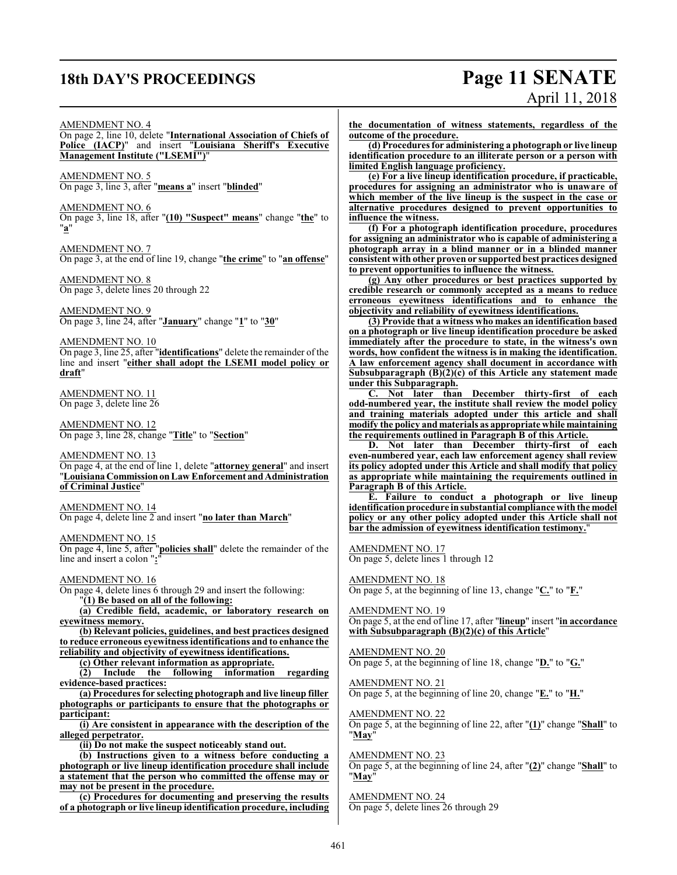## **18th DAY'S PROCEEDINGS Page 11 SENATE**

# April 11, 2018

#### AMENDMENT NO. 4

On page 2, line 10, delete "**International Association of Chiefs of Police (IACP)**" and insert "**Louisiana Sheriff's Executive Management Institute ("LSEMI")**"

AMENDMENT NO. 5 On page 3, line 3, after "**means a**" insert "**blinded**"

AMENDMENT NO. 6

On page 3, line 18, after "**(10) "Suspect" means**" change "**the**" to "**a**"

AMENDMENT NO. 7 On page 3, at the end of line 19, change "**the crime**" to "**an offense**"

AMENDMENT NO. 8 On page 3, delete lines 20 through 22

AMENDMENT NO. 9 On page 3, line 24, after "**January**" change "**1**" to "**30**"

AMENDMENT NO. 10 On page 3, line 25, after "**identifications**" delete the remainder of the line and insert "**either shall adopt the LSEMI model policy or draft**"

AMENDMENT NO. 11 On page 3, delete line 26

AMENDMENT NO. 12 On page 3, line 28, change "**Title**" to "**Section**"

AMENDMENT NO. 13 On page 4, at the end of line 1, delete "**attorney general**" and insert "**LouisianaCommissiononLaw Enforcement andAdministration of Criminal Justice**"

AMENDMENT NO. 14 On page 4, delete line 2 and insert "**no later than March**"

AMENDMENT NO. 15

On page 4, line 5, after "**policies shall**" delete the remainder of the line and insert a colon "**:**"

AMENDMENT NO. 16 On page 4, delete lines 6 through 29 and insert the following: "**(1) Be based on all of the following:**

**(a) Credible field, academic, or laboratory research on eyewitness memory.**

**(b) Relevant policies, guidelines, and best practices designed to reduce erroneous eyewitness identifications and to enhance the reliability and objectivity of eyewitness identifications.**

**(c) Other relevant information as appropriate.**

**(2) Include the following information regarding evidence-based practices:**

**(a) Procedures for selecting photograph and live lineup filler photographs or participants to ensure that the photographs or participant:**

**(i) Are consistent in appearance with the description of the alleged perpetrator.**

**(ii) Do not make the suspect noticeably stand out.**

**(b) Instructions given to a witness before conducting a photograph or live lineup identification procedure shall include a statement that the person who committed the offense may or may not be present in the procedure.**

**(c) Procedures for documenting and preserving the results of a photograph or live lineup identification procedure, including**

**the documentation of witness statements, regardless of the outcome of the procedure.**

**(d) Procedures for administering a photograph or live lineup identification procedure to an illiterate person or a person with limited English language proficiency.**

**(e) For a live lineup identification procedure, if practicable, procedures for assigning an administrator who is unaware of which member of the live lineup is the suspect in the case or alternative procedures designed to prevent opportunities to influence the witness.**

**(f) For a photograph identification procedure, procedures for assigning an administrator who is capable of administering a photograph array in a blind manner or in a blinded manner consistent with other proven or supportedbest practices designed to prevent opportunities to influence the witness.**

**(g) Any other procedures or best practices supported by credible research or commonly accepted as a means to reduce erroneous eyewitness identifications and to enhance the objectivity and reliability of eyewitness identifications.**

**(3) Provide that a witness who makes an identification based on a photograph or live lineup identification procedure be asked immediately after the procedure to state, in the witness's own words, how confident the witness is in making the identification. A law enforcement agency shall document in accordance with Subsubparagraph (B)(2)(c) of this Article any statement made under this Subparagraph.**

**C. Not later than December thirty-first of each odd-numbered year, the institute shall review the model policy and training materials adopted under this article and shall modify the policy and materials as appropriate while maintaining the requirements outlined in Paragraph B of this Article.**

**D. Not later than December thirty-first of each even-numbered year, each law enforcement agency shall review its policy adopted under this Article and shall modify that policy as appropriate while maintaining the requirements outlined in Paragraph B of this Article.**

**E. Failure to conduct a photograph or live lineup identification procedure in substantial compliance with the model policy or any other policy adopted under this Article shall not bar the admission of eyewitness identification testimony.**"

AMENDMENT NO. 17

On page 5, delete lines 1 through 12

AMENDMENT NO. 18 On page 5, at the beginning of line 13, change "**C.**" to "**F.**"

AMEND<u>MENT NO. 19</u> On page 5, at the end of line 17, after "**lineup**" insert "**in accordance with Subsubparagraph (B)(2)(c) of this Article**"

AMENDMENT NO. 20 On page 5, at the beginning of line 18, change "**D.**" to "**G.**"

AMENDMENT NO. 21 On page 5, at the beginning of line 20, change "**E.**" to "**H.**"

AMENDMENT NO. 22 On page 5, at the beginning of line 22, after "**(1)**" change "**Shall**" to "**May**"

AMENDMENT NO. 23 On page 5, at the beginning of line 24, after "**(2)**" change "**Shall**" to "**May**"

AMENDMENT NO. 24 On page 5, delete lines 26 through 29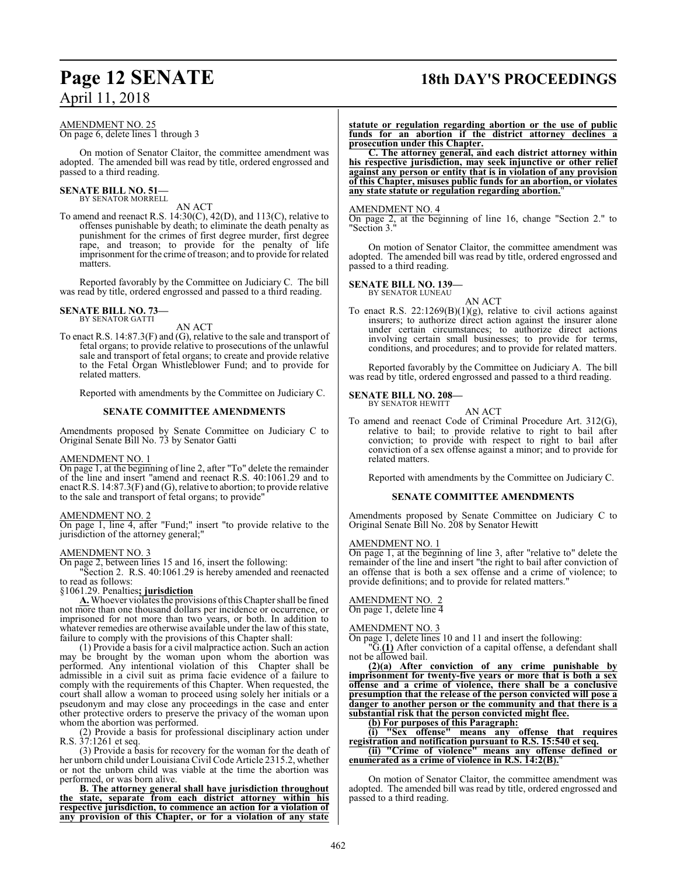## **Page 12 SENATE 18th DAY'S PROCEEDINGS**

#### AMENDMENT NO. 25 On page 6, delete lines 1 through 3

On motion of Senator Claitor, the committee amendment was adopted. The amended bill was read by title, ordered engrossed and passed to a third reading.

#### **SENATE BILL NO. 51—** BY SENATOR MORRELL

AN ACT

To amend and reenact R.S. 14:30(C), 42(D), and 113(C), relative to offenses punishable by death; to eliminate the death penalty as punishment for the crimes of first degree murder, first degree rape, and treason; to provide for the penalty of life imprisonment for the crime of treason; and to provide for related matters.

Reported favorably by the Committee on Judiciary C. The bill was read by title, ordered engrossed and passed to a third reading.

## **SENATE BILL NO. 73—** BY SENATOR GATTI

AN ACT

To enact R.S. 14:87.3(F) and (G), relative to the sale and transport of fetal organs; to provide relative to prosecutions of the unlawful sale and transport of fetal organs; to create and provide relative to the Fetal Organ Whistleblower Fund; and to provide for related matters.

Reported with amendments by the Committee on Judiciary C.

#### **SENATE COMMITTEE AMENDMENTS**

Amendments proposed by Senate Committee on Judiciary C to Original Senate Bill No. 73 by Senator Gatti

#### AMENDMENT NO. 1

On page 1, at the beginning of line 2, after "To" delete the remainder of the line and insert "amend and reenact R.S. 40:1061.29 and to enact R.S. 14:87.3(F) and (G), relative to abortion; to provide relative to the sale and transport of fetal organs; to provide"

#### AMENDMENT NO. 2

On page 1, line 4, after "Fund;" insert "to provide relative to the jurisdiction of the attorney general;"

#### AMENDMENT NO. 3

On page 2, between lines 15 and 16, insert the following:

"Section 2. R.S. 40:1061.29 is hereby amended and reenacted to read as follows:

#### §1061.29. Penalties**; jurisdiction**

**A.** Whoever violates the provisions ofthis Chapter shall be fined not more than one thousand dollars per incidence or occurrence, or imprisoned for not more than two years, or both. In addition to whatever remedies are otherwise available under the law of this state, failure to comply with the provisions of this Chapter shall:

(1) Provide a basis for a civil malpractice action. Such an action may be brought by the woman upon whom the abortion was performed. Any intentional violation of this Chapter shall be admissible in a civil suit as prima facie evidence of a failure to comply with the requirements of this Chapter. When requested, the court shall allow a woman to proceed using solely her initials or a pseudonym and may close any proceedings in the case and enter other protective orders to preserve the privacy of the woman upon whom the abortion was performed.

(2) Provide a basis for professional disciplinary action under R.S. 37:1261 et seq.

(3) Provide a basis for recovery for the woman for the death of her unborn child under Louisiana Civil Code Article 2315.2, whether or not the unborn child was viable at the time the abortion was performed, or was born alive.

**B. The attorney general shall have jurisdiction throughout the state, separate from each district attorney within his respective jurisdiction, to commence an action for a violation of any provision of this Chapter, or for a violation of any state** **statute or regulation regarding abortion or the use of public funds for an abortion if the district attorney declines a prosecution under this Chapter.**

**C. The attorney general, and each district attorney within his respective jurisdiction, may seek injunctive or other relief against any person or entity that is in violation of any provision of this Chapter, misuses public funds for an abortion, or violates any state statute or regulation regarding abortion.**"

#### AMENDMENT NO. 4

On page 2, at the beginning of line 16, change "Section 2." to "Section 3."

On motion of Senator Claitor, the committee amendment was adopted. The amended bill was read by title, ordered engrossed and passed to a third reading.

#### **SENATE BILL NO. 139—**

BY SENATOR LUNEAU

AN ACT To enact R.S. 22:1269(B)(1)(g), relative to civil actions against insurers; to authorize direct action against the insurer alone under certain circumstances; to authorize direct actions involving certain small businesses; to provide for terms, conditions, and procedures; and to provide for related matters.

Reported favorably by the Committee on Judiciary A. The bill was read by title, ordered engrossed and passed to a third reading.

#### **SENATE BILL NO. 208—** BY SENATOR HEWITT

AN ACT

To amend and reenact Code of Criminal Procedure Art. 312(G), relative to bail; to provide relative to right to bail after conviction; to provide with respect to right to bail after conviction of a sex offense against a minor; and to provide for related matters.

Reported with amendments by the Committee on Judiciary C.

#### **SENATE COMMITTEE AMENDMENTS**

Amendments proposed by Senate Committee on Judiciary C to Original Senate Bill No. 208 by Senator Hewitt

#### AMENDMENT NO. 1

On page 1, at the beginning of line 3, after "relative to" delete the remainder of the line and insert "the right to bail after conviction of an offense that is both a sex offense and a crime of violence; to provide definitions; and to provide for related matters."

#### AMENDMENT NO. 2

On page 1, delete line 4

#### AMENDMENT NO. 3

On page 1, delete lines 10 and 11 and insert the following:

"G.**(1)** After conviction of a capital offense, a defendant shall not be allowed bail.

**(2)(a) After conviction of any crime punishable by imprisonment for twenty-five years or more that is both a sex offense and a crime of violence, there shall be a conclusive presumption that the release of the person convicted will pose a danger to another person or the community and that there is a substantial risk that the person convicted might flee.**

**(b) For purposes of this Paragraph:**

**(i) "Sex offense" means any offense that requires registration and notification pursuant to R.S. 15:540 et seq.**

**(ii) "Crime of violence" means any offense defined or enumerated as a crime of violence in R.S. 14:2(B).**"

On motion of Senator Claitor, the committee amendment was adopted. The amended bill was read by title, ordered engrossed and passed to a third reading.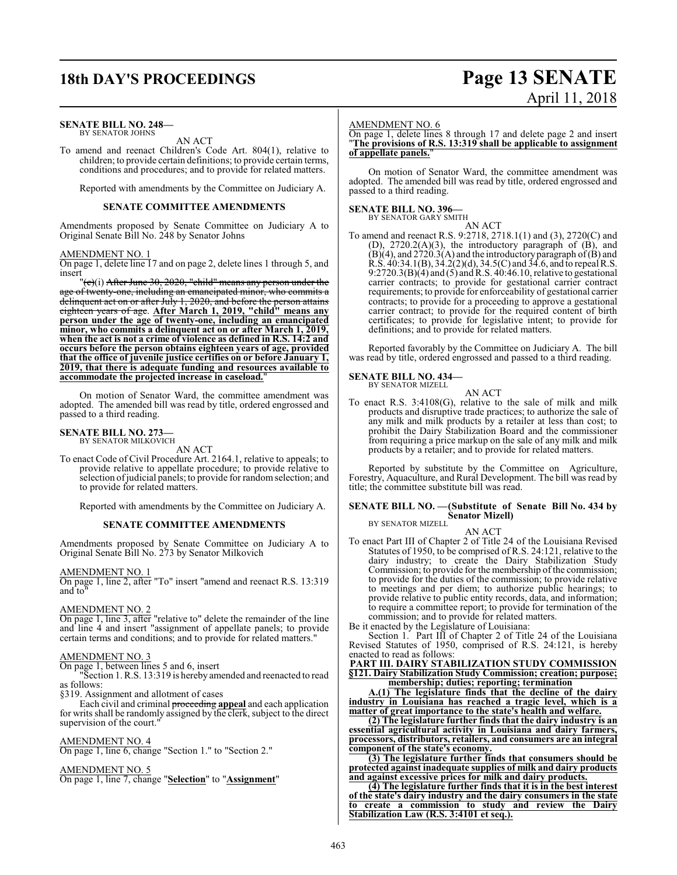## **18th DAY'S PROCEEDINGS Page 13 SENATE**

#### **SENATE BILL NO. 248—** BY SENATOR JOHNS

AN ACT

To amend and reenact Children's Code Art. 804(1), relative to children; to provide certain definitions; to provide certain terms, conditions and procedures; and to provide for related matters.

Reported with amendments by the Committee on Judiciary A.

#### **SENATE COMMITTEE AMENDMENTS**

Amendments proposed by Senate Committee on Judiciary A to Original Senate Bill No. 248 by Senator Johns

#### AMENDMENT NO. 1

On page 1, delete line 17 and on page 2, delete lines 1 through 5, and insert

"(e)(i) After June 30, 2020, "child" means any person under the of twenty-one, including an emancipated minor, who commits a delinquent act on or after July 1, 2020, and before the person attains eighteen years of age. **After March 1, 2019, "child" means any person under the age of twenty-one, including an emancipated minor, who commits a delinquent act on or after March 1, 2019, when the act is not a crime of violence as defined in R.S. 14:2 and occurs before the person obtains eighteen years of age, provided that the office of juvenile justice certifies on or before January 1, 2019, that there is adequate funding and resources available to accommodate the projected increase in caseload.**"

On motion of Senator Ward, the committee amendment was adopted. The amended bill was read by title, ordered engrossed and passed to a third reading.

## **SENATE BILL NO. 273—**<br>BY SENATOR MILKOVICH

AN ACT

To enact Code of Civil Procedure Art. 2164.1, relative to appeals; to provide relative to appellate procedure; to provide relative to selection ofjudicial panels; to provide for randomselection; and to provide for related matters.

Reported with amendments by the Committee on Judiciary A.

#### **SENATE COMMITTEE AMENDMENTS**

Amendments proposed by Senate Committee on Judiciary A to Original Senate Bill No. 273 by Senator Milkovich

AMENDMENT NO. 1

On page 1, line 2, after "To" insert "amend and reenact R.S. 13:319 and to"

#### AMENDMENT NO. 2

On page 1, line 3, after "relative to" delete the remainder of the line and line 4 and insert "assignment of appellate panels; to provide certain terms and conditions; and to provide for related matters."

#### AMENDMENT NO. 3

On page 1, between lines 5 and 6, insert

"Section 1. R.S. 13:319 is hereby amended and reenacted to read as follows:

§319. Assignment and allotment of cases

Each civil and criminal proceeding **appeal** and each application for writs shall be randomly assigned by the clerk, subject to the direct supervision of the court.

#### AMENDMENT NO. 4

On page 1, line 6, change "Section 1." to "Section 2."

#### AMENDMENT NO. 5

On page 1, line 7, change "**Selection**" to "**Assignment**"

#### AMENDMENT NO. 6

On page 1, delete lines 8 through 17 and delete page 2 and insert "**The provisions of R.S. 13:319 shall be applicable to assignment of appellate panels.**"

April 11, 2018

On motion of Senator Ward, the committee amendment was adopted. The amended bill was read by title, ordered engrossed and passed to a third reading.

## **SENATE BILL NO. 396—**<br>BY SENATOR GARY SMITH

AN ACT

To amend and reenact R.S. 9:2718, 2718.1(1) and (3), 2720(C) and (D),  $2720.2(A)(3)$ , the introductory paragraph of  $(B)$ , and  $(B)(4)$ , and 2720.3(A) and the introductory paragraph of  $(B)$  and R.S. 40:34.1(B), 34.2(2)(d), 34.5(C) and 34.6, and to repeal R.S. 9:2720.3(B)(4) and (5) and R.S. 40:46.10, relative to gestational carrier contracts; to provide for gestational carrier contract requirements; to provide for enforceability of gestational carrier contracts; to provide for a proceeding to approve a gestational carrier contract; to provide for the required content of birth certificates; to provide for legislative intent; to provide for definitions; and to provide for related matters.

Reported favorably by the Committee on Judiciary A. The bill was read by title, ordered engrossed and passed to a third reading.

#### **SENATE BILL NO. 434—**

BY SENATOR MIZELL

AN ACT To enact R.S. 3:4108(G), relative to the sale of milk and milk products and disruptive trade practices; to authorize the sale of any milk and milk products by a retailer at less than cost; to prohibit the Dairy Stabilization Board and the commissioner from requiring a price markup on the sale of any milk and milk products by a retailer; and to provide for related matters.

Reported by substitute by the Committee on Agriculture, Forestry, Aquaculture, and Rural Development. The bill was read by title; the committee substitute bill was read.

#### **SENATE BILL NO. —(Substitute of Senate Bill No. 434 by Senator Mizell)** BY SENATOR MIZELL

### AN ACT

To enact Part III of Chapter 2 of Title 24 of the Louisiana Revised Statutes of 1950, to be comprised of R.S. 24:121, relative to the dairy industry; to create the Dairy Stabilization Study Commission; to provide for the membership of the commission; to provide for the duties of the commission; to provide relative to meetings and per diem; to authorize public hearings; to provide relative to public entity records, data, and information; to require a committee report; to provide for termination of the commission; and to provide for related matters.

Be it enacted by the Legislature of Louisiana:

Section 1. Part III of Chapter 2 of Title 24 of the Louisiana Revised Statutes of 1950, comprised of R.S. 24:121, is hereby enacted to read as follows:

**PART III. DAIRY STABILIZATION STUDY COMMISSION §121. Dairy Stabilization Study Commission; creation; purpose; membership; duties; reporting; termination**

**A.(1) The legislature finds that the decline of the dairy industry in Louisiana has reached a tragic level, which is a matter of great importance to the state's health and welfare.**

**(2) The legislature further finds that the dairy industry is an essential agricultural activity in Louisiana and dairy farmers, processors, distributors, retailers, and consumers are an integral component of the state's economy.**

**(3) The legislature further finds that consumers should be protected against inadequate supplies of milk and dairy products and against excessive prices for milk and dairy products.**

**(4) The legislature further finds that it is in the best interest of the state's dairy industry and the dairy consumers in the state to create a commission to study and review the Dairy Stabilization Law (R.S. 3:4101 et seq.).**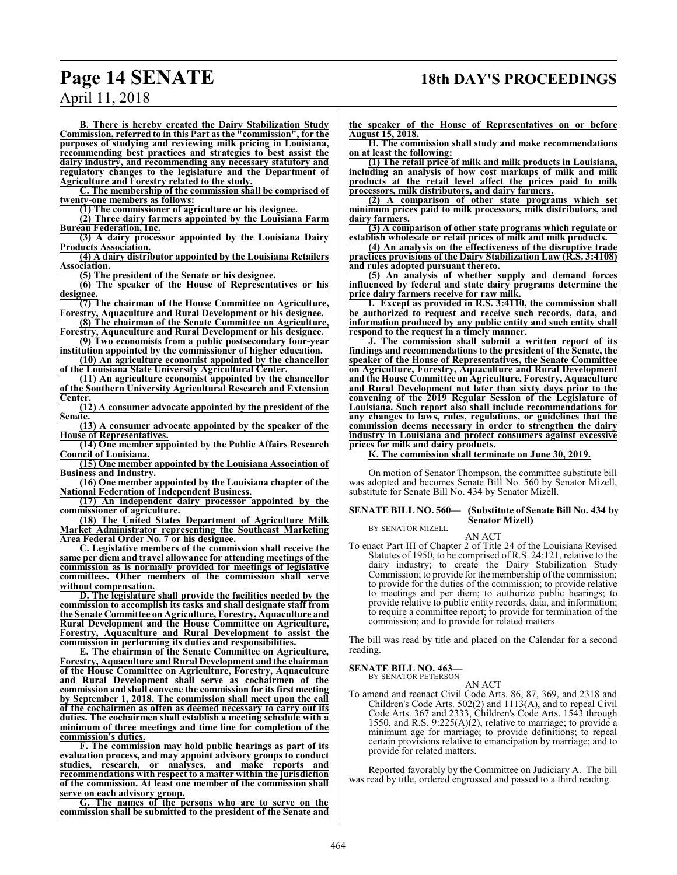## **Page 14 SENATE 18th DAY'S PROCEEDINGS**

April 11, 2018

**B. There is hereby created the Dairy Stabilization Study Commission, referred to in this Part as the "commission", for the purposes of studying and reviewing milk pricing in Louisiana, recommending best practices and strategies to best assist the dairy industry, and recommending any necessary statutory and regulatory changes to the legislature and the Department of Agriculture and Forestry related to the study.**

**C. The membership of the commission shall be comprised of twenty-one members as follows:**

**(1) The commissioner of agriculture or his designee.**

**(2) Three dairy farmers appointed by the Louisiana Farm Bureau Federation, Inc.**

**(3) A dairy processor appointed by the Louisiana Dairy Products Association.**

**(4) A dairy distributor appointed by the Louisiana Retailers Association.**

**(5) The president of the Senate or his designee.**

**(6) The speaker of the House of Representatives or his designee.**

**(7) The chairman of the House Committee on Agriculture, Forestry, Aquaculture and Rural Development or his designee.**

**(8) The chairman of the Senate Committee on Agriculture, Forestry, Aquaculture and Rural Development or his designee.**

**(9) Two economists from a public postsecondary four-year**

**institution appointed by the commissioner of higher education. (10) An agriculture economist appointed by the chancellor**

**of the Louisiana State University Agricultural Center. (11) An agriculture economist appointed by the chancellor**

**of the Southern University Agricultural Research and Extension Center.**

**(12) A consumer advocate appointed by the president of the Senate.**

**(13) A consumer advocate appointed by the speaker of the House of Representatives.**

**(14) One member appointed by the Public Affairs Research Council of Louisiana.**

**(15) One member appointed by the Louisiana Association of Business and Industry.**

**(16) One member appointed by the Louisiana chapter of the National Federation of Independent Business.**

**(17) An independent dairy processor appointed by the commissioner of agriculture.**

**(18) The United States Department of Agriculture Milk Market Administrator representing the Southeast Marketing Area Federal Order No. 7 or his designee.**

**C. Legislative members of the commission shall receive the same per diem and travel allowance for attending meetings of the commission as is normally provided for meetings of legislative committees. Other members of the commission shall serve without compensation.**

**D. The legislature shall provide the facilities needed by the commission to accomplish its tasks and shall designate staff from the Senate Committee on Agriculture, Forestry, Aquaculture and Rural Development and the House Committee on Agriculture, Forestry, Aquaculture and Rural Development to assist the commission in performing its duties and responsibilities.**

**E. The chairman of the Senate Committee on Agriculture, Forestry, Aquaculture and Rural Development and the chairman of the House Committee on Agriculture, Forestry, Aquaculture and Rural Development shall serve as cochairmen of the commission and shall convene the commission for its first meeting by September 1, 2018. The commission shall meet upon the call of the cochairmen as often as deemed necessary to carry out its duties. The cochairmen shall establish a meeting schedule with a minimum of three meetings and time line for completion of the commission's duties.**

**F. The commission may hold public hearings as part of its evaluation process, and may appoint advisory groups to conduct studies, research, or analyses, and make reports and recommendations with respect to a matter within the jurisdiction of the commission. At least one member of the commission shall serve on each advisory group.**

**G. The names of the persons who are to serve on the commission shall be submitted to the president of the Senate and** **the speaker of the House of Representatives on or before August 15, 2018.**

**H. The commission shall study and make recommendations on at least the following:**

**(1) The retail price of milk and milk products in Louisiana, including an analysis of how cost markups of milk and milk products at the retail level affect the prices paid to milk processors, milk distributors, and dairy farmers.**

**(2) A comparison of other state programs which set minimum prices paid to milk processors, milk distributors, and dairy farmers.**

**(3) A comparison of other state programs which regulate or establish wholesale or retail prices of milk and milk products.**

**(4) An analysis on the effectiveness of the disruptive trade practices provisions of the Dairy Stabilization Law (R.S. 3:4108) and rules adopted pursuant thereto.**

**(5) An analysis of whether supply and demand forces influenced by federal and state dairy programs determine the price dairy farmers receive for raw milk.**

**I. Except as provided in R.S. 3:4110, the commission shall be authorized to request and receive such records, data, and information produced by any public entity and such entity shall respond to the request in a timely manner.**

**J. The commission shall submit a written report of its findings and recommendations to the president of the Senate, the speaker of the House of Representatives, the Senate Committee on Agriculture, Forestry, Aquaculture and Rural Development and the House Committee on Agriculture, Forestry, Aquaculture and Rural Development not later than sixty days prior to the convening of the 2019 Regular Session of the Legislature of Louisiana. Such report also shall include recommendations for any changes to laws, rules, regulations, or guidelines that the commission deems necessary in order to strengthen the dairy industry in Louisiana and protect consumers against excessive prices for milk and dairy products.**

**K. The commission shall terminate on June 30, 2019.**

On motion of Senator Thompson, the committee substitute bill was adopted and becomes Senate Bill No. 560 by Senator Mizell, substitute for Senate Bill No. 434 by Senator Mizell.

#### **SENATE BILL NO. 560— (Substitute of Senate Bill No. 434 by Senator Mizell)** BY SENATOR MIZELL

AN ACT

To enact Part III of Chapter 2 of Title 24 of the Louisiana Revised Statutes of 1950, to be comprised of R.S. 24:121, relative to the dairy industry; to create the Dairy Stabilization Study Commission; to provide for the membership of the commission; to provide for the duties of the commission; to provide relative to meetings and per diem; to authorize public hearings; to provide relative to public entity records, data, and information; to require a committee report; to provide for termination of the commission; and to provide for related matters.

The bill was read by title and placed on the Calendar for a second reading.

## **SENATE BILL NO. 463**<br>BY SENATOR PETERSON

AN ACT To amend and reenact Civil Code Arts. 86, 87, 369, and 2318 and Children's Code Arts. 502(2) and 1113(A), and to repeal Civil Code Arts. 367 and 2333, Children's Code Arts. 1543 through 1550, and R.S.  $9:225(A)(2)$ , relative to marriage; to provide a minimum age for marriage; to provide definitions; to repeal certain provisions relative to emancipation by marriage; and to provide for related matters.

Reported favorably by the Committee on Judiciary A. The bill was read by title, ordered engrossed and passed to a third reading.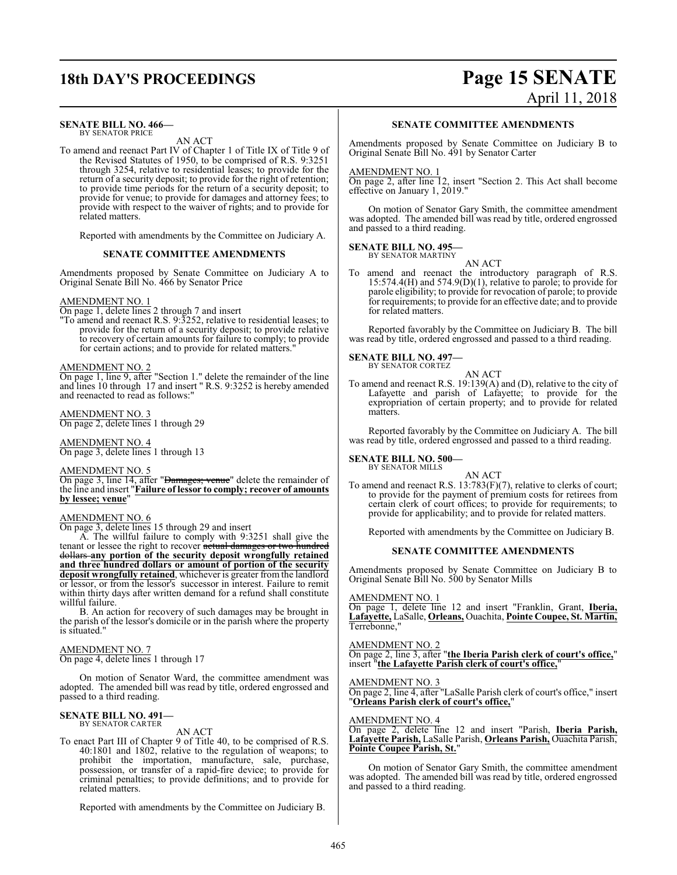#### **SENATE BILL NO. 466—** BY SENATOR PRICE

AN ACT

To amend and reenact Part IV of Chapter 1 of Title IX of Title 9 of the Revised Statutes of 1950, to be comprised of R.S. 9:3251 through 3254, relative to residential leases; to provide for the return of a security deposit; to provide for the right of retention; to provide time periods for the return of a security deposit; to provide for venue; to provide for damages and attorney fees; to provide with respect to the waiver of rights; and to provide for related matters.

Reported with amendments by the Committee on Judiciary A.

#### **SENATE COMMITTEE AMENDMENTS**

Amendments proposed by Senate Committee on Judiciary A to Original Senate Bill No. 466 by Senator Price

#### AMENDMENT NO. 1

On page 1, delete lines 2 through 7 and insert

"To amend and reenact R.S. 9:3252, relative to residential leases; to provide for the return of a security deposit; to provide relative to recovery of certain amounts for failure to comply; to provide for certain actions; and to provide for related matters.

#### AMENDMENT NO. 2

On page 1, line 9, after "Section 1." delete the remainder of the line and lines 10 through 17 and insert " R.S. 9:3252 is hereby amended and reenacted to read as follows:"

AMENDMENT NO. 3 On page 2, delete lines 1 through 29

AMENDMENT NO. 4 On page 3, delete lines 1 through 13

#### AMENDMENT NO. 5

On page 3, line 14, after "Damages; venue" delete the remainder of the line and insert "**Failure of lessor to comply; recover of amounts by lessee; venue**"

#### AMENDMENT NO. 6

On page 3, delete lines 15 through 29 and insert

A. The willful failure to comply with 9:3251 shall give the tenant or lessee the right to recover actual damages or two hundred dollars **any portion of the security deposit wrongfully retained and three hundred dollars or amount of portion of the security deposit wrongfully retained**, whichever is greater from the landlord or lessor, or from the lessor's successor in interest. Failure to remit within thirty days after written demand for a refund shall constitute willful failure.

B. An action for recovery of such damages may be brought in the parish of the lessor's domicile or in the parish where the property is situated."

#### AMENDMENT NO. 7

On page 4, delete lines 1 through 17

On motion of Senator Ward, the committee amendment was adopted. The amended bill was read by title, ordered engrossed and passed to a third reading.

#### **SENATE BILL NO. 491—** BY SENATOR CARTER

AN ACT

To enact Part III of Chapter 9 of Title 40, to be comprised of R.S. 40:1801 and 1802, relative to the regulation of weapons; to prohibit the importation, manufacture, sale, purchase, possession, or transfer of a rapid-fire device; to provide for criminal penalties; to provide definitions; and to provide for related matters.

Reported with amendments by the Committee on Judiciary B.

## **18th DAY'S PROCEEDINGS Page 15 SENATE** April 11, 2018

#### **SENATE COMMITTEE AMENDMENTS**

Amendments proposed by Senate Committee on Judiciary B to Original Senate Bill No. 491 by Senator Carter

#### AMENDMENT NO. 1

On page 2, after line 12, insert "Section 2. This Act shall become effective on January 1, 2019."

On motion of Senator Gary Smith, the committee amendment was adopted. The amended bill was read by title, ordered engrossed and passed to a third reading.

#### **SENATE BILL NO. 495—** BY SENATOR MARTINY

AN ACT

To amend and reenact the introductory paragraph of R.S. 15:574.4(H) and 574.9(D)(1), relative to parole; to provide for parole eligibility; to provide for revocation of parole; to provide for requirements; to provide for an effective date; and to provide for related matters.

Reported favorably by the Committee on Judiciary B. The bill was read by title, ordered engrossed and passed to a third reading.

#### **SENATE BILL NO. 497—**

BY SENATOR CORTEZ AN ACT

To amend and reenact R.S. 19:139(A) and (D), relative to the city of Lafayette and parish of Lafayette; to provide for the expropriation of certain property; and to provide for related matters.

Reported favorably by the Committee on Judiciary A. The bill was read by title, ordered engrossed and passed to a third reading.

## **SENATE BILL NO. 500—** BY SENATOR MILLS

AN ACT

To amend and reenact R.S.  $13:783(F)(7)$ , relative to clerks of court; to provide for the payment of premium costs for retirees from certain clerk of court offices; to provide for requirements; to provide for applicability; and to provide for related matters.

Reported with amendments by the Committee on Judiciary B.

#### **SENATE COMMITTEE AMENDMENTS**

Amendments proposed by Senate Committee on Judiciary B to Original Senate Bill No. 500 by Senator Mills

AMENDMENT NO. 1

On page 1, delete line 12 and insert "Franklin, Grant, **Iberia, Lafayette,** LaSalle, **Orleans,** Ouachita, **Pointe Coupee, St. Martin,** Terrebonne,"

#### AMENDMENT NO. 2

On page 2, line 3, after "**the Iberia Parish clerk of court's office,**" insert "**the Lafayette Parish clerk of court's office,**"

#### AMENDMENT NO. 3

On page 2, line 4, after "LaSalle Parish clerk of court's office," insert "**Orleans Parish clerk of court's office,**"

#### AMENDMENT NO. 4

On page 2, delete line 12 and insert "Parish, **Iberia Parish, Lafayette Parish,** LaSalle Parish, **Orleans Parish,** Ouachita Parish, **Pointe Coupee Parish, St.**"

On motion of Senator Gary Smith, the committee amendment was adopted. The amended bill was read by title, ordered engrossed and passed to a third reading.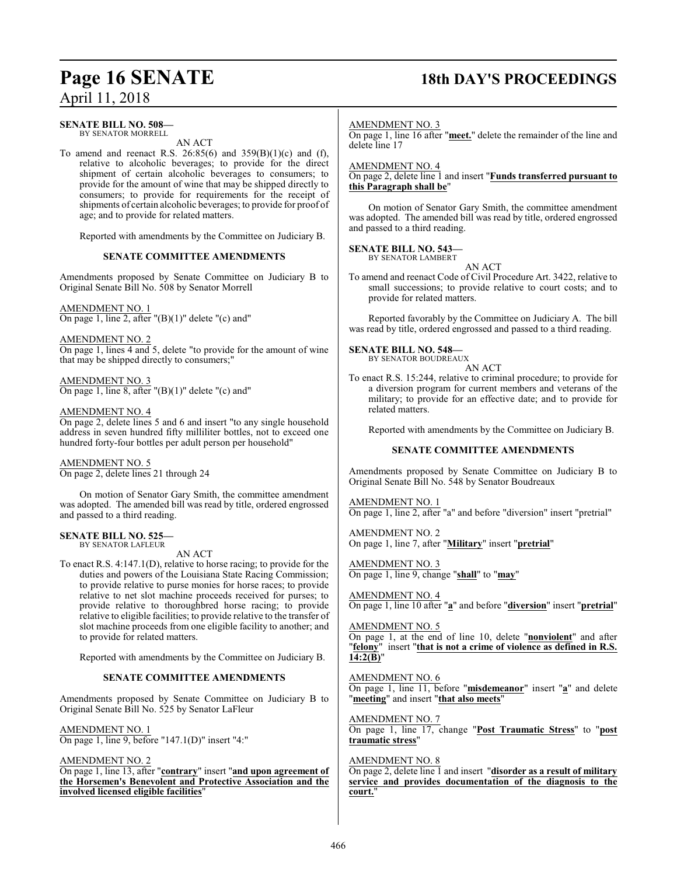## **Page 16 SENATE 18th DAY'S PROCEEDINGS**

## **SENATE BILL NO. 508—**

BY SENATOR MORRELL

AN ACT

To amend and reenact R.S. 26:85(6) and 359(B)(1)(c) and (f), relative to alcoholic beverages; to provide for the direct shipment of certain alcoholic beverages to consumers; to provide for the amount of wine that may be shipped directly to consumers; to provide for requirements for the receipt of shipments of certain alcoholic beverages; to provide for proof of age; and to provide for related matters.

Reported with amendments by the Committee on Judiciary B.

#### **SENATE COMMITTEE AMENDMENTS**

Amendments proposed by Senate Committee on Judiciary B to Original Senate Bill No. 508 by Senator Morrell

AMENDMENT NO. 1 On page 1, line 2, after  $"({\rm B})(1)"$  delete  $"({\rm c})$  and"

AMENDMENT NO. 2 On page 1, lines 4 and 5, delete "to provide for the amount of wine that may be shipped directly to consumers;"

AMENDMENT NO. 3 On page 1, line 8, after  $"({\rm B})(1)"$  delete  $"({\rm c})$  and"

#### AMENDMENT NO. 4

On page 2, delete lines 5 and 6 and insert "to any single household address in seven hundred fifty milliliter bottles, not to exceed one hundred forty-four bottles per adult person per household"

AMENDMENT NO. 5 On page 2, delete lines 21 through 24

On motion of Senator Gary Smith, the committee amendment was adopted. The amended bill was read by title, ordered engrossed and passed to a third reading.

#### **SENATE BILL NO. 525—** BY SENATOR LAFLEUR

AN ACT

To enact R.S. 4:147.1(D), relative to horse racing; to provide for the duties and powers of the Louisiana State Racing Commission; to provide relative to purse monies for horse races; to provide relative to net slot machine proceeds received for purses; to provide relative to thoroughbred horse racing; to provide relative to eligible facilities; to provide relative to the transfer of slot machine proceeds from one eligible facility to another; and to provide for related matters.

Reported with amendments by the Committee on Judiciary B.

### **SENATE COMMITTEE AMENDMENTS**

Amendments proposed by Senate Committee on Judiciary B to Original Senate Bill No. 525 by Senator LaFleur

AMENDMENT NO. 1 On page 1, line 9, before "147.1(D)" insert "4:"

AMENDMENT NO. 2

On page 1, line 13, after "**contrary**" insert "**and upon agreement of the Horsemen's Benevolent and Protective Association and the involved licensed eligible facilities**"

#### AMENDMENT NO. 3

On page 1, line 16 after "**meet.**" delete the remainder of the line and delete line 17

#### AMENDMENT NO. 4

On page 2, delete line 1 and insert "**Funds transferred pursuant to this Paragraph shall be**"

On motion of Senator Gary Smith, the committee amendment was adopted. The amended bill was read by title, ordered engrossed and passed to a third reading.

#### **SENATE BILL NO. 543—** BY SENATOR LAMBERT

AN ACT

To amend and reenact Code of Civil Procedure Art. 3422, relative to small successions; to provide relative to court costs; and to provide for related matters.

Reported favorably by the Committee on Judiciary A. The bill was read by title, ordered engrossed and passed to a third reading.

#### **SENATE BILL NO. 548—**

BY SENATOR BOUDREAUX

AN ACT

To enact R.S. 15:244, relative to criminal procedure; to provide for a diversion program for current members and veterans of the military; to provide for an effective date; and to provide for related matters.

Reported with amendments by the Committee on Judiciary B.

### **SENATE COMMITTEE AMENDMENTS**

Amendments proposed by Senate Committee on Judiciary B to Original Senate Bill No. 548 by Senator Boudreaux

AMENDMENT NO. 1

On page 1, line 2, after "a" and before "diversion" insert "pretrial"

AMENDMENT NO. 2 On page 1, line 7, after "**Military**" insert "**pretrial**"

AMENDMENT NO. 3 On page 1, line 9, change "**shall**" to "**may**"

AMENDMENT NO. 4 On page 1, line 10 after "**a**" and before "**diversion**" insert "**pretrial**"

AMENDMENT NO. 5 On page 1, at the end of line 10, delete "**nonviolent**" and after "**felony**" insert "**that is not a crime of violence as defined in R.S. 14:2(B)**"

AMENDMENT NO. 6

On page 1, line 11, before "**misdemeanor**" insert "**a**" and delete "**meeting**" and insert "**that also meets**"

AMENDMENT NO. 7

On page 1, line 17, change "**Post Traumatic Stress**" to "**post traumatic stress**"

#### AMENDMENT NO. 8

On page 2, delete line 1 and insert "**disorder as a result of military service and provides documentation of the diagnosis to the court.**"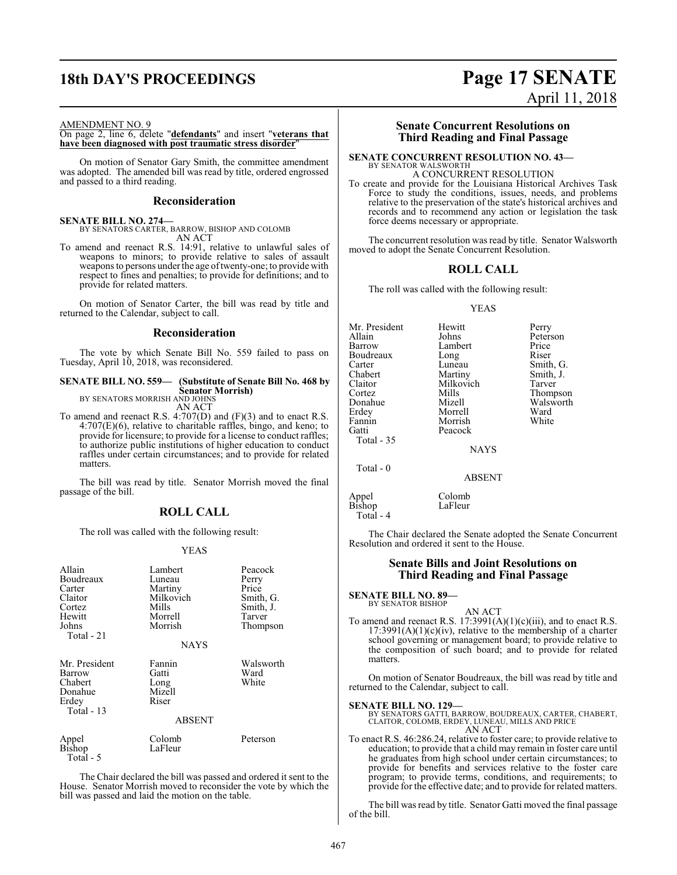## **18th DAY'S PROCEEDINGS Page 17 SENATE**

# April 11, 2018

#### AMENDMENT NO. 9

#### On page 2, line 6, delete "**defendants**" and insert "**veterans that have been diagnosed with post traumatic stress disorder**"

On motion of Senator Gary Smith, the committee amendment was adopted. The amended bill was read by title, ordered engrossed and passed to a third reading.

#### **Reconsideration**

#### **SENATE BILL NO. 274—**

BY SENATORS CARTER, BARROW, BISHOP AND COLOMB AN ACT

To amend and reenact R.S. 14:91, relative to unlawful sales of weapons to minors; to provide relative to sales of assault weapons to persons under the age of twenty-one; to provide with respect to fines and penalties; to provide for definitions; and to provide for related matters.

On motion of Senator Carter, the bill was read by title and returned to the Calendar, subject to call.

#### **Reconsideration**

The vote by which Senate Bill No. 559 failed to pass on Tuesday, April 10, 2018, was reconsidered.

## **SENATE BILL NO. 559— (Substitute of Senate Bill No. 468 by Senator Morrish)** BY SENATORS MORRISH AND JOHNS

AN ACT

To amend and reenact R.S. 4:707(D) and (F)(3) and to enact R.S.  $4:707(E)(6)$ , relative to charitable raffles, bingo, and keno; to provide for licensure; to provide for a license to conduct raffles; to authorize public institutions of higher education to conduct raffles under certain circumstances; and to provide for related matters.

The bill was read by title. Senator Morrish moved the final passage of the bill.

#### **ROLL CALL**

The roll was called with the following result:

#### YEAS

| Allain<br>Boudreaux<br>Carter<br>Claitor<br>Cortez<br>Hewitt<br>Johns<br>Total - 21 | Lambert<br>Luneau<br>Martiny<br>Milkovich<br>Mills<br>Morrell<br>Morrish<br><b>NAYS</b> | Peacock<br>Perry<br>Price<br>Smith, G.<br>Smith, J.<br>Tarver<br>Thompson |
|-------------------------------------------------------------------------------------|-----------------------------------------------------------------------------------------|---------------------------------------------------------------------------|
| Mr. President<br>Barrow<br>Chabert<br>Donahue<br>Erdey<br>Total - 13                | Fannin<br>Gatti<br>Long<br>Mizell<br>Riser<br><b>ABSENT</b>                             | Walsworth<br>Ward<br>White                                                |
| Appel<br>Bishop<br>Total - 5                                                        | Colomb<br>LaFleur                                                                       | Peterson                                                                  |

The Chair declared the bill was passed and ordered it sent to the House. Senator Morrish moved to reconsider the vote by which the bill was passed and laid the motion on the table.

#### **Senate Concurrent Resolutions on Third Reading and Final Passage**

#### **SENATE CONCURRENT RESOLUTION NO. 43—** BY SENATOR WALSWORTH

A CONCURRENT RESOLUTION

To create and provide for the Louisiana Historical Archives Task Force to study the conditions, issues, needs, and problems relative to the preservation of the state's historical archives and records and to recommend any action or legislation the task force deems necessary or appropriate.

The concurrent resolution was read by title. Senator Walsworth moved to adopt the Senate Concurrent Resolution.

## **ROLL CALL**

The roll was called with the following result:

#### YEAS

Mr. President Hewitt Perry<br>Allain Johns Peters Allain Johns Peterson<br>Barrow Lambert Price Lambert Price<br>
Long Riser Boudreaux Long<br>Carter Luneau Carter Luneau Smith, G.<br>
Chabert Martiny Smith, J. Chabert Martiny Smith, J.<br>Claitor Milkovich Tarver Claitor Milkovich<br>Cortez Mills Cortez Mills Thompson Donahue Mizell Walsworth Morrell Ward<br>
Morrish White Fannin Morrish<br>Gatti Peacock Peacock Total - 35 **NAYS** 

Total - 0

ABSENT

Appel Colomb<br>Bishop LaFleur LaFleur Total - 4

The Chair declared the Senate adopted the Senate Concurrent Resolution and ordered it sent to the House.

#### **Senate Bills and Joint Resolutions on Third Reading and Final Passage**

#### **SENATE BILL NO. 89—**

BY SENATOR BISHOP

AN ACT To amend and reenact R.S. 17:3991(A)(1)(c)(iii), and to enact R.S.  $17:3991(A)(1)(c)(iv)$ , relative to the membership of a charter school governing or management board; to provide relative to the composition of such board; and to provide for related matters.

On motion of Senator Boudreaux, the bill was read by title and returned to the Calendar, subject to call.

**SENATE BILL NO. 129—** BY SENATORS GATTI, BARROW, BOUDREAUX, CARTER, CHABERT, CLAITOR, COLOMB, ERDEY, LUNEAU, MILLS AND PRICE AN ACT

To enact R.S. 46:286.24, relative to foster care; to provide relative to education; to provide that a child may remain in foster care until he graduates from high school under certain circumstances; to provide for benefits and services relative to the foster care program; to provide terms, conditions, and requirements; to provide for the effective date; and to provide for related matters.

The bill was read by title. Senator Gatti moved the final passage of the bill.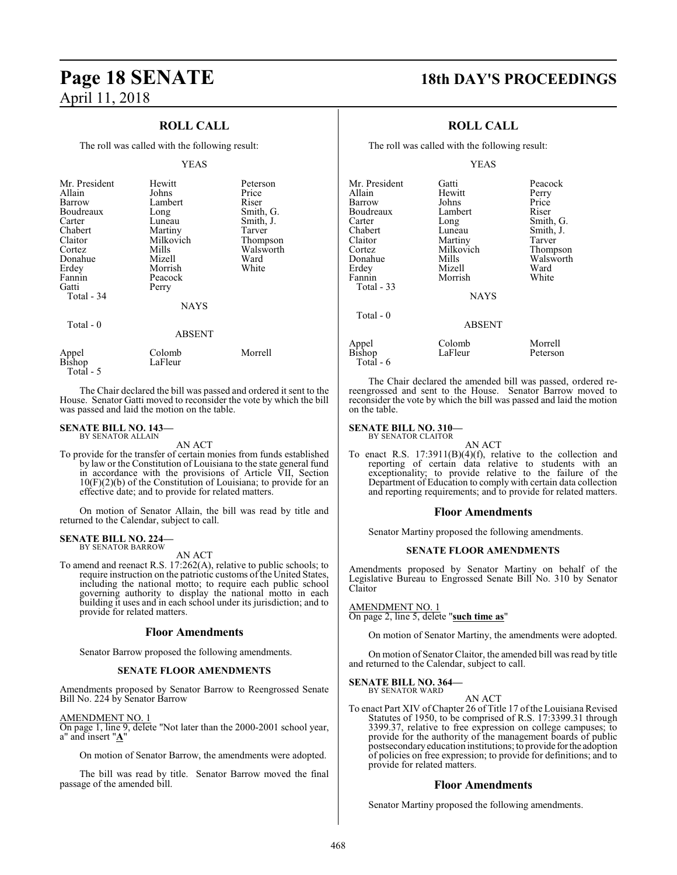## **ROLL CALL**

The roll was called with the following result:

#### YEAS

| Mr. President<br>Allain<br>Barrow<br>Boudreaux<br>Carter<br>Chabert<br>Claitor<br>Cortez<br>Donahue<br>Erdey<br>Fannin<br>Gatti<br>Total - 34 | Hewitt<br>Johns<br>Lambert<br>Long<br>Luneau<br>Martiny<br>Milkovich<br>Mills<br>Mizell<br>Morrish<br>Peacock<br>Perry<br><b>NAYS</b> | Peterson<br>Price<br>Riser<br>Smith, G.<br>Smith, J.<br>Tarver<br>Thompson<br>Walsworth<br>Ward<br>White |
|-----------------------------------------------------------------------------------------------------------------------------------------------|---------------------------------------------------------------------------------------------------------------------------------------|----------------------------------------------------------------------------------------------------------|
| Total $-0$                                                                                                                                    | <b>ABSENT</b>                                                                                                                         |                                                                                                          |
| Appel                                                                                                                                         | Colomb                                                                                                                                | Morrell                                                                                                  |

The Chair declared the bill was passed and ordered it sent to the House. Senator Gatti moved to reconsider the vote by which the bill was passed and laid the motion on the table.

#### **SENATE BILL NO. 143—** BY SENATOR ALLAIN

Bishop LaFleur

Total - 5

AN ACT

To provide for the transfer of certain monies from funds established by law or the Constitution of Louisiana to the state general fund in accordance with the provisions of Article VII, Section  $10(F)(2)(b)$  of the Constitution of Louisiana; to provide for an effective date; and to provide for related matters.

On motion of Senator Allain, the bill was read by title and returned to the Calendar, subject to call.

#### **SENATE BILL NO. 224—**

BY SENATOR BARROW

AN ACT

To amend and reenact R.S. 17:262(A), relative to public schools; to require instruction on the patriotic customs of the United States, including the national motto; to require each public school governing authority to display the national motto in each building it uses and in each school under its jurisdiction; and to provide for related matters.

#### **Floor Amendments**

Senator Barrow proposed the following amendments.

#### **SENATE FLOOR AMENDMENTS**

Amendments proposed by Senator Barrow to Reengrossed Senate Bill No. 224 by Senator Barrow

AMENDMENT NO. 1

On page 1, line 9, delete "Not later than the 2000-2001 school year, a" and insert "**A**"

On motion of Senator Barrow, the amendments were adopted.

The bill was read by title. Senator Barrow moved the final passage of the amended bill.

## **Page 18 SENATE 18th DAY'S PROCEEDINGS**

### **ROLL CALL**

The roll was called with the following result:

#### YEAS

| Mr. President | Gatti         | Peacock   |
|---------------|---------------|-----------|
| Allain        | Hewitt        | Perry     |
| Barrow        | Johns         | Price     |
| Boudreaux     | Lambert       | Riser     |
|               |               |           |
| Carter        | Long          | Smith, G. |
| Chabert       | Luneau        | Smith, J. |
| Claitor       | Martiny       | Tarver    |
| Cortez        | Milkovich     | Thompson  |
| Donahue       | Mills         | Walsworth |
| Erdey         | Mizell        | Ward      |
| Fannin        | Morrish       | White     |
| Total - 33    |               |           |
|               | <b>NAYS</b>   |           |
|               |               |           |
|               |               |           |
| Total - 0     |               |           |
|               | <b>ABSENT</b> |           |
|               |               |           |
| Appel         | Colomb        | Morrell   |
| Bishop        | LaFleur       | Peterson  |
| Total - 6     |               |           |

The Chair declared the amended bill was passed, ordered rereengrossed and sent to the House. Senator Barrow moved to reconsider the vote by which the bill was passed and laid the motion on the table.

#### **SENATE BILL NO. 310—**

BY SENATOR CLAITOR AN ACT

To enact R.S. 17:3911(B)(4)(f), relative to the collection and reporting of certain data relative to students with an exceptionality; to provide relative to the failure of the Department of Education to comply with certain data collection and reporting requirements; and to provide for related matters.

#### **Floor Amendments**

Senator Martiny proposed the following amendments.

#### **SENATE FLOOR AMENDMENTS**

Amendments proposed by Senator Martiny on behalf of the Legislative Bureau to Engrossed Senate Bill No. 310 by Senator Claitor

AMENDMENT NO. 1

On page 2, line 5, delete "**such time as**"

On motion of Senator Martiny, the amendments were adopted.

On motion of Senator Claitor, the amended bill was read by title and returned to the Calendar, subject to call.

#### **SENATE BILL NO. 364—** BY SENATOR WARD

AN ACT

To enact Part XIV of Chapter 26 of Title 17 of the Louisiana Revised Statutes of 1950, to be comprised of R.S. 17:3399.31 through 3399.37, relative to free expression on college campuses; to provide for the authority of the management boards of public postsecondaryeducation institutions; to provide forthe adoption of policies on free expression; to provide for definitions; and to provide for related matters.

#### **Floor Amendments**

Senator Martiny proposed the following amendments.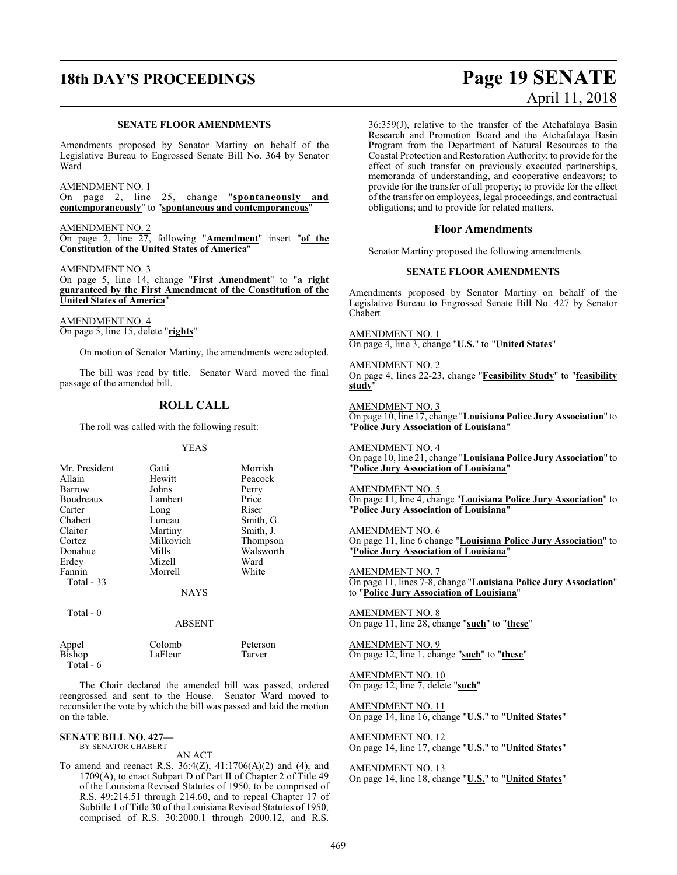#### **SENATE FLOOR AMENDMENTS**

Amendments proposed by Senator Martiny on behalf of the Legislative Bureau to Engrossed Senate Bill No. 364 by Senator Ward

AMENDMENT NO. 1

On page 2, line 25, change "**spontaneously and contemporaneously**" to "**spontaneous and contemporaneous**"

AMENDMENT NO. 2 On page 2, line 27, following "**Amendment**" insert "**of the Constitution of the United States of America**"

AMENDMENT NO. 3 On page 5, line 14, change "**First Amendment**" to "**a right guaranteed by the First Amendment of the Constitution of the United States of America**"

AMENDMENT NO. 4 On page 5, line 15, delete "**rights**"

On motion of Senator Martiny, the amendments were adopted.

The bill was read by title. Senator Ward moved the final passage of the amended bill.

### **ROLL CALL**

The roll was called with the following result:

#### YEAS

| Mr. President     | Gatti       | Morrish   |
|-------------------|-------------|-----------|
| Allain            | Hewitt      | Peacock   |
| Barrow            | Johns       | Perry     |
| Boudreaux         | Lambert     | Price     |
| Carter            | Long        | Riser     |
| Chabert           | Luneau      | Smith, G. |
| Claitor           | Martiny     | Smith, J. |
| Cortez            | Milkovich   | Thompson  |
| Donahue           | Mills       | Walsworth |
| Erdey             | Mizell      | Ward      |
| Fannin            | Morrell     | White     |
| <b>Total - 33</b> |             |           |
|                   | <b>NAYS</b> |           |
| $Total - 0$       |             |           |

ABSENT

Bishop Total - 6

Appel Colomb Peterson<br>
Bishop I a Fleur Tarver

The Chair declared the amended bill was passed, ordered reengrossed and sent to the House. Senator Ward moved to reconsider the vote by which the bill was passed and laid the motion on the table.

#### **SENATE BILL NO. 427—** BY SENATOR CHABERT

AN ACT

To amend and reenact R.S. 36:4(Z), 41:1706(A)(2) and (4), and 1709(A), to enact Subpart D of Part II of Chapter 2 of Title 49 of the Louisiana Revised Statutes of 1950, to be comprised of R.S. 49:214.51 through 214.60, and to repeal Chapter 17 of Subtitle 1 of Title 30 of the Louisiana Revised Statutes of 1950, comprised of R.S. 30:2000.1 through 2000.12, and R.S.

## **18th DAY'S PROCEEDINGS Page 19 SENATE** April 11, 2018

36:359(J), relative to the transfer of the Atchafalaya Basin Research and Promotion Board and the Atchafalaya Basin Program from the Department of Natural Resources to the Coastal Protection and Restoration Authority; to provide for the effect of such transfer on previously executed partnerships, memoranda of understanding, and cooperative endeavors; to provide for the transfer of all property; to provide for the effect of the transfer on employees, legal proceedings, and contractual obligations; and to provide for related matters.

## **Floor Amendments**

Senator Martiny proposed the following amendments.

#### **SENATE FLOOR AMENDMENTS**

Amendments proposed by Senator Martiny on behalf of the Legislative Bureau to Engrossed Senate Bill No. 427 by Senator Chabert

AMENDMENT NO. 1 On page 4, line 3, change "**U.S.**" to "**United States**"

AMENDMENT NO. 2 On page 4, lines 22-23, change "**Feasibility Study**" to "**feasibility study**"

AMENDMENT NO. 3 On page 10, line 17, change "**Louisiana Police Jury Association**" to "**Police Jury Association of Louisiana**"

AMENDMENT NO. 4 On page 10, line 21, change "**Louisiana Police Jury Association**" to "**Police Jury Association of Louisiana**"

AMENDMENT NO. 5 On page 11, line 4, change "**Louisiana Police Jury Association**" to "**Police Jury Association of Louisiana**"

AMENDMENT NO. 6

On page 11, line 6 change "**Louisiana Police Jury Association**" to "**Police Jury Association of Louisiana**"

AMENDMENT NO. 7 On page 11, lines 7-8, change "**Louisiana Police Jury Association**" to "**Police Jury Association of Louisiana**"

AMENDMENT NO. 8 On page 11, line 28, change "**such**" to "**these**"

AMENDMENT NO. 9 On page 12, line 1, change "**such**" to "**these**"

AMENDMENT NO. 10 On page 12, line 7, delete "**such**"

AMENDMENT NO. 11 On page 14, line 16, change "**U.S.**" to "**United States**"

AMENDMENT NO. 12 On page 14, line 17, change "**U.S.**" to "**United States**"

AMENDMENT NO. 13 On page 14, line 18, change "**U.S.**" to "**United States**"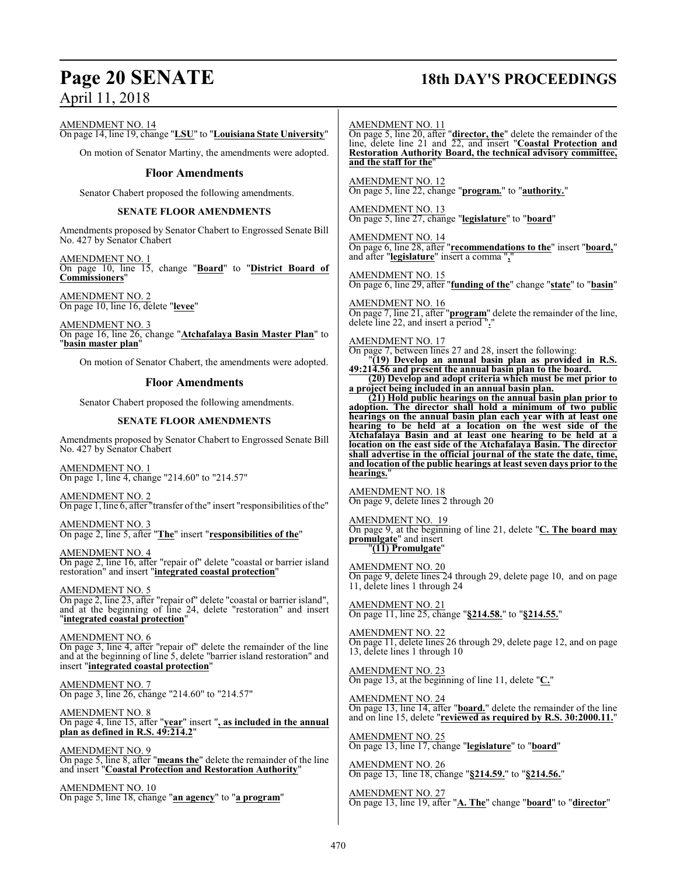## **Page 20 SENATE 18th DAY'S PROCEEDINGS**

AMENDMENT NO. 14

On page 14, line 19, change "**LSU**" to "**Louisiana State University**"

On motion of Senator Martiny, the amendments were adopted.

#### **Floor Amendments**

Senator Chabert proposed the following amendments.

#### **SENATE FLOOR AMENDMENTS**

Amendments proposed by Senator Chabert to Engrossed Senate Bill No. 427 by Senator Chabert

AMENDMENT NO. 1 On page 10, line 15, change "**Board**" to "**District Board of Commissioners**"

AMENDMENT NO. 2 On page 10, line 16, delete "**levee**"

AMENDMENT NO. 3 On page 16, line 26, change "**Atchafalaya Basin Master Plan**" to "**basin master plan**"

On motion of Senator Chabert, the amendments were adopted.

#### **Floor Amendments**

Senator Chabert proposed the following amendments.

#### **SENATE FLOOR AMENDMENTS**

Amendments proposed by Senator Chabert to Engrossed Senate Bill No. 427 by Senator Chabert

AMENDMENT NO. 1 On page 1, line 4, change "214.60" to "214.57"

AMENDMENT NO. 2 On page 1, line 6, after "transfer ofthe" insert "responsibilities ofthe"

AMENDMENT NO. 3 On page 2, line 5, after "**The**" insert "**responsibilities of the**"

AMENDMENT NO. 4 On page 2, line 16, after "repair of" delete "coastal or barrier island restoration" and insert "**integrated coastal protection**"

AMENDMENT NO. 5 On page 2, line 23, after "repair of" delete "coastal or barrier island", and at the beginning of line 24, delete "restoration" and insert "**integrated coastal protection**"

AMENDMENT NO. 6 On page 3, line 4, after "repair of" delete the remainder of the line and at the beginning of line 5, delete "barrier island restoration" and insert "**integrated coastal protection**"

AMENDMENT NO. 7 On page 3, line 26, change "214.60" to "214.57"

AMENDMENT NO. 8 On page 4, line 15, after "**year**" insert "**, as included in the annual plan as defined in R.S. 49:214.2**"

AMENDMENT NO. 9 On page 5, line 8, after "**means the**" delete the remainder of the line and insert "**Coastal Protection and Restoration Authority**"

AMENDMENT NO. 10 On page 5, line 18, change "**an agency**" to "**a program**"

#### AMENDMENT NO. 11

On page 5, line 20, after "**director, the**" delete the remainder of the line, delete line 21 and 22, and insert "**Coastal Protection and Restoration Authority Board, the technical advisory committee, and the staff for the**"

AMENDMENT NO. 12 On page 5, line 22, change "**program.**" to "**authority.**"

AMENDMENT NO. 13 On page 5, line 27, change "**legislature**" to "**board**"

AMENDMENT NO. 14 On page 6, line 28, after "**recommendations to the**" insert "**board,**" and after "**legislature**" insert a comma "**,**"

AMENDMENT NO. 15 On page 6, line 29, after "**funding of the**" change "**state**" to "**basin**"

AMENDMENT NO. 16 On page 7, line 21, after "**program**" delete the remainder of the line, delete line 22, and insert a period ".

AMENDMENT NO. 17

On page 7, between lines 27 and 28, insert the following:

"**(19) Develop an annual basin plan as provided in R.S. 49:214.56 and present the annual basin plan to the board.**

**(20) Develop and adopt criteria which must be met prior to a project being included in an annual basin plan.**

**(21) Hold public hearings on the annual basin plan prior to adoption. The director shall hold a minimum of two public hearings on the annual basin plan each year with at least one hearing to be held at a location on the west side of the Atchafalaya Basin and at least one hearing to be held at a location on the east side of the Atchafalaya Basin. The director shall advertise in the official journal of the state the date, time, and location of the public hearings at least seven days prior to the hearings.**"

AMENDMENT NO. 18 On page 9, delete lines 2 through 20

AMENDMENT NO. 19 On page 9, at the beginning of line 21, delete "**C. The board may promulgate**" and insert "**(11) Promulgate**"

AMENDMENT NO. 20 On page 9, delete lines 24 through 29, delete page 10, and on page 11, delete lines 1 through 24

AMENDMENT NO. 21 On page 11, line 25, change "**§214.58.**" to "**§214.55.**"

AMENDMENT NO. 22 On page 11, delete lines 26 through 29, delete page 12, and on page 13, delete lines 1 through 10

AMENDMENT NO. 23 On page 13, at the beginning of line 11, delete "**C.**"

AMENDMENT NO. 24 On page 13, line 14, after "**board.**" delete the remainder of the line and on line 15, delete "**reviewed as required by R.S. 30:2000.11.**"

AMENDMENT NO. 25 On page 13, line 17, change "**legislature**" to "**board**"

AMENDMENT NO. 26 On page 13, line 18, change "**§214.59.**" to "**§214.56.**"

AMENDMENT NO. 27 On page 13, line 19, after "**A. The**" change "**board**" to "**director**"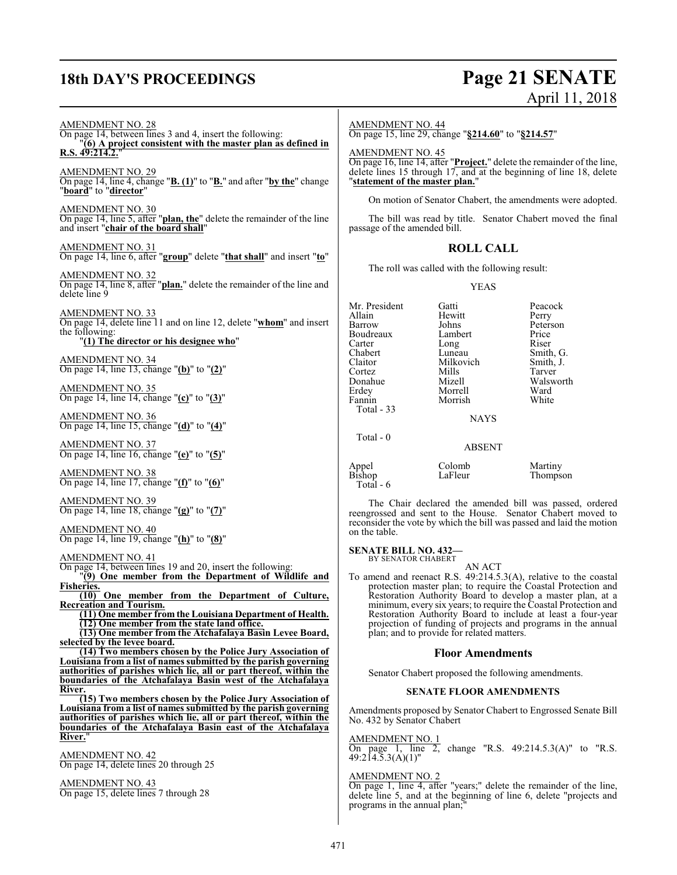## **18th DAY'S PROCEEDINGS Page 21 SENATE**

# April 11, 2018

AMENDMENT NO. 28 On page 14, between lines 3 and 4, insert the following: "**(6) A project consistent with the master plan as defined in R.S. 49:214.2.**" AMENDMENT NO. 29 On page 14, line 4, change "**B. (1)**" to "**B.**" and after "**by the**" change "**board**" to "**director**" AMENDMENT NO. 30 On page 14, line 5, after "**plan, the**" delete the remainder of the line and insert "**chair of the board shall**" AMENDMENT NO. 31 On page 14, line 6, after "**group**" delete "**that shall**" and insert "**to**" AMENDMENT NO. 32 On page 14, line 8, after "**plan.**" delete the remainder of the line and delete line 9 AMENDMENT NO. 33 On page 14, delete line 11 and on line 12, delete "**whom**" and insert the following: "**(1) The director or his designee who**" AMENDMENT NO. 34 On page 14, line 13, change "**(b)**" to "**(2)**" AMENDMENT NO. 35 On page 14, line 14, change "**(c)**" to "**(3)**" AMENDMENT NO. 36 On page 14, line 15, change "**(d)**" to "**(4)**" AMENDMENT NO. 37 On page 14, line 16, change "**(e)**" to "**(5)**" AMENDMENT NO. 38 On page 14, line 17, change "**(f)**" to "**(6)**" AMENDMENT NO. 39 On page 14, line 18, change "**(g)**" to "**(7)**" AMENDMENT NO. 40 On page 14, line 19, change "**(h)**" to "**(8)**" AMENDMENT NO. 41 On page 14, between lines 19 and 20, insert the following: "**(9) One member from the Department of Wildlife and Fisheries. (10) One member from the Department of Culture, Recreation and Tourism. (11) One member from the Louisiana Department of Health. (12) One member from the state land office. (13) One member from the Atchafalaya Basin Levee Board, selected by the levee board. (14) Two members chosen by the Police Jury Association of Louisiana from a list of names submitted by the parish governing authorities of parishes which lie, all or part thereof, within the boundaries of the Atchafalaya Basin west of the Atchafalaya River. (15) Two members chosen by the Police Jury Association of Louisiana from a list of names submitted by the parish governing authorities of parishes which lie, all or part thereof, within the boundaries of the Atchafalaya Basin east of the Atchafalaya River.**" AMENDMENT NO. 42

On page 14, delete lines 20 through 25

AMENDMENT NO. 43 On page 15, delete lines 7 through 28

#### AMENDMENT NO. 44

On page 15, line 29, change "**§214.60**" to "**§214.57**"

AMENDMENT NO. 45

On page 16, line 14, after "**Project.**" delete the remainder of the line, delete lines 15 through 17, and at the beginning of line 18, delete "**statement of the master plan.**"

On motion of Senator Chabert, the amendments were adopted.

The bill was read by title. Senator Chabert moved the final passage of the amended bill.

#### **ROLL CALL**

The roll was called with the following result:

YEAS

| Mr. President | Gatti         | Peacock   |
|---------------|---------------|-----------|
| Allain        | Hewitt        | Perry     |
| Barrow        | Johns         | Peterson  |
| Boudreaux     | Lambert       | Price     |
| Carter        | Long          | Riser     |
| Chabert       | Luneau        | Smith, G. |
| Claitor       | Milkovich     | Smith, J. |
| Cortez        | Mills         | Tarver    |
| Donahue       | Mizell        | Walsworth |
| Erdey         | Morrell       | Ward      |
| Fannin        | Morrish       | White     |
| Total - 33    |               |           |
|               | <b>NAYS</b>   |           |
| Total - 0     |               |           |
|               | <b>ABSENT</b> |           |
| Appel         | Colomb        | Martiny   |
| <b>Bishop</b> | LaFleur       | Thompson  |
| $Total - 6$   |               |           |

The Chair declared the amended bill was passed, ordered reengrossed and sent to the House. Senator Chabert moved to reconsider the vote by which the bill was passed and laid the motion on the table.

**SENATE BILL NO. 432—**

BY SENATOR CHABERT AN ACT

To amend and reenact R.S. 49:214.5.3(A), relative to the coastal protection master plan; to require the Coastal Protection and Restoration Authority Board to develop a master plan, at a minimum, every six years; to require the Coastal Protection and Restoration Authority Board to include at least a four-year projection of funding of projects and programs in the annual plan; and to provide for related matters.

#### **Floor Amendments**

Senator Chabert proposed the following amendments.

#### **SENATE FLOOR AMENDMENTS**

Amendments proposed by Senator Chabert to Engrossed Senate Bill No. 432 by Senator Chabert

AMENDMENT NO. 1

 $\overline{2}$ , change "R.S. 49:214.5.3(A)" to "R.S. On page 1, line  $49:214.5.3(A)(1)$ "

#### AMENDMENT NO. 2

On page 1, line 4, after "years;" delete the remainder of the line, delete line 5, and at the beginning of line 6, delete "projects and programs in the annual plan;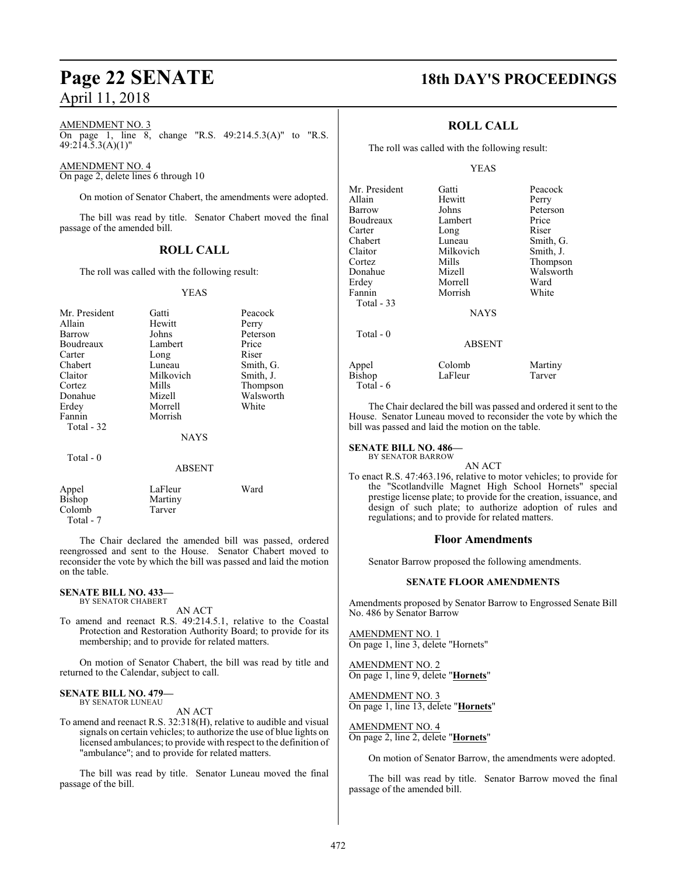#### AMENDMENT NO. 3

On page 1, line 8, change "R.S. 49:214.5.3(A)" to "R.S.  $49:214.5.3(A)(1)$ "

#### AMENDMENT NO. 4

On page 2, delete lines 6 through 10

On motion of Senator Chabert, the amendments were adopted.

The bill was read by title. Senator Chabert moved the final passage of the amended bill.

#### **ROLL CALL**

The roll was called with the following result:

#### YEAS

| Mr. President | Gatti       | Peacock   |
|---------------|-------------|-----------|
| Allain        | Hewitt      | Perry     |
| Barrow        | Johns       | Peterson  |
| Boudreaux     | Lambert     | Price     |
| Carter        | Long        | Riser     |
| Chabert       | Luneau      | Smith, G. |
| Claitor       | Milkovich   | Smith, J. |
| Cortez        | Mills       | Thompson  |
| Donahue       | Mizell      | Walsworth |
| Erdey         | Morrell     | White     |
| Fannin        | Morrish     |           |
| Total - 32    |             |           |
|               | <b>NAYS</b> |           |
| Total $-0$    |             |           |
|               | ABSENT      |           |
| Appel         | LaFleur     | Ward      |
| Bishop        | Martiny     |           |
| Colomb        | Tarver      |           |
|               |             |           |

The Chair declared the amended bill was passed, ordered reengrossed and sent to the House. Senator Chabert moved to reconsider the vote by which the bill was passed and laid the motion on the table.

#### **SENATE BILL NO. 433—** BY SENATOR CHABERT

Colomb Total - 7

AN ACT

To amend and reenact R.S. 49:214.5.1, relative to the Coastal Protection and Restoration Authority Board; to provide for its membership; and to provide for related matters.

On motion of Senator Chabert, the bill was read by title and returned to the Calendar, subject to call.

#### **SENATE BILL NO. 479—** BY SENATOR LUNEAU

AN ACT

To amend and reenact R.S. 32:318(H), relative to audible and visual signals on certain vehicles; to authorize the use of blue lights on licensed ambulances; to provide with respect to the definition of "ambulance"; and to provide for related matters.

The bill was read by title. Senator Luneau moved the final passage of the bill.

## **Page 22 SENATE 18th DAY'S PROCEEDINGS**

## **ROLL CALL**

The roll was called with the following result:

#### YEAS

| Mr. President     | Gatti         | Peacock   |
|-------------------|---------------|-----------|
| Allain            | Hewitt        | Perry     |
| Barrow            | Johns         | Peterson  |
| Boudreaux         | Lambert       | Price     |
| Carter            | Long          | Riser     |
| Chabert           | Luneau        | Smith, G. |
| Claitor           | Milkovich     | Smith, J. |
| Cortez            | Mills         | Thompson  |
| Donahue           | Mizell        | Walsworth |
| Erdey             | Morrell       | Ward      |
| Fannin            | Morrish       | White     |
| <b>Total - 33</b> |               |           |
|                   | <b>NAYS</b>   |           |
| Total $-0$        |               |           |
|                   | <b>ABSENT</b> |           |
| Appel             | Colomb        | Martiny   |
| Bishop            | LaFleur       | Tarver    |

The Chair declared the bill was passed and ordered it sent to the House. Senator Luneau moved to reconsider the vote by which the bill was passed and laid the motion on the table.

#### **SENATE BILL NO. 486—**

Total - 6

BY SENATOR BARROW

AN ACT To enact R.S. 47:463.196, relative to motor vehicles; to provide for the "Scotlandville Magnet High School Hornets" special prestige license plate; to provide for the creation, issuance, and design of such plate; to authorize adoption of rules and regulations; and to provide for related matters.

#### **Floor Amendments**

Senator Barrow proposed the following amendments.

#### **SENATE FLOOR AMENDMENTS**

Amendments proposed by Senator Barrow to Engrossed Senate Bill No. 486 by Senator Barrow

AMENDMENT NO. 1 On page 1, line 3, delete "Hornets"

AMENDMENT NO. 2 On page 1, line 9, delete "**Hornets**"

AMENDMENT NO. 3 On page 1, line 13, delete "**Hornets**"

AMENDMENT NO. 4 On page 2, line 2, delete "**Hornets**"

On motion of Senator Barrow, the amendments were adopted.

The bill was read by title. Senator Barrow moved the final passage of the amended bill.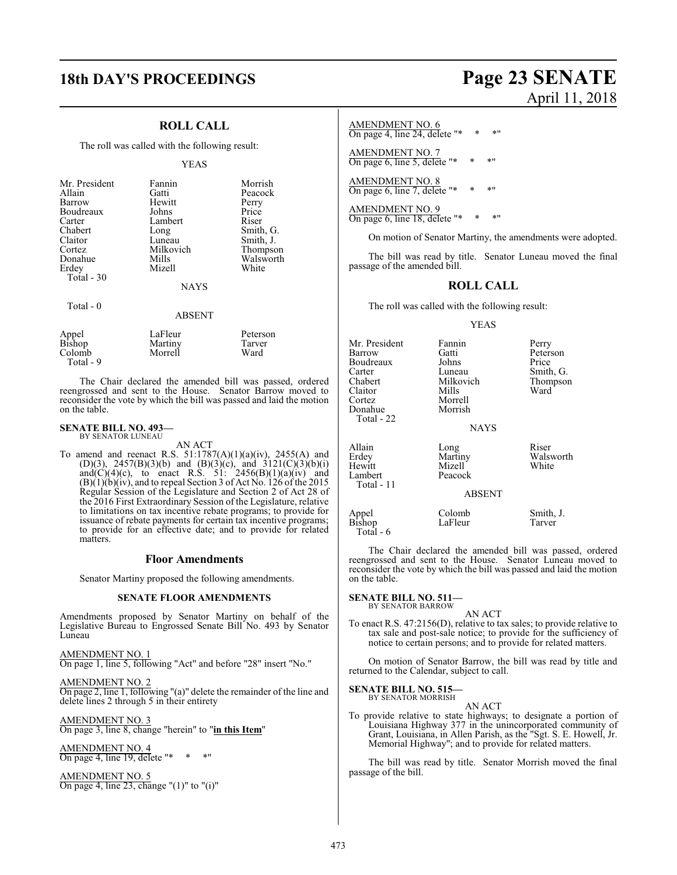## **18th DAY'S PROCEEDINGS Page 23 SENATE**

## **ROLL CALL**

The roll was called with the following result:

#### YEAS

| Mr. President<br>Allain<br>Barrow<br>Boudreaux<br>Carter<br>Chabert<br>Claitor<br>Cortez<br>Donahue<br>Erdey<br>Total $-30$ | Fannin<br>Gatti<br>Hewitt<br>Johns<br>Lambert<br>Long<br>Luneau<br>Milkovich<br>Mills<br>Mizell<br><b>NAYS</b> | Morrish<br>Peacock<br>Perry<br>Price<br>Riser<br>Smith, G.<br>Smith, J.<br>Thompson<br>Walsworth<br>White |
|-----------------------------------------------------------------------------------------------------------------------------|----------------------------------------------------------------------------------------------------------------|-----------------------------------------------------------------------------------------------------------|
| Total - 0                                                                                                                   | ABSEI                                                                                                          |                                                                                                           |

| Appel<br>Bishop<br>Colomb | LaFleur<br>Martiny<br>Morrell | Peterson<br>Tarver<br>Ward |
|---------------------------|-------------------------------|----------------------------|
| Total - 9                 |                               |                            |

The Chair declared the amended bill was passed, ordered reengrossed and sent to the House. Senator Barrow moved to reconsider the vote by which the bill was passed and laid the motion on the table.

#### **SENATE BILL NO. 493—** BY SENATOR LUNEAU

AN ACT

To amend and reenact R.S.  $51:1787(A)(1)(a)(iv)$ ,  $2455(A)$  and (D)(3), 2457(B)(3)(b) and (B)(3)(c), and 3121(C)(3)(b)(i) and(C)(4)(c), to enact R.S. 51: 2456(B)(1)(a)(iv) and  $(B)(1)(b)(iv)$ , and to repeal Section 3 of Act No. 126 of the 2015 Regular Session of the Legislature and Section 2 of Act 28 of the 2016 First Extraordinary Session of the Legislature, relative to limitations on tax incentive rebate programs; to provide for issuance of rebate payments for certain tax incentive programs; to provide for an effective date; and to provide for related matters.

#### **Floor Amendments**

Senator Martiny proposed the following amendments.

#### **SENATE FLOOR AMENDMENTS**

Amendments proposed by Senator Martiny on behalf of the Legislative Bureau to Engrossed Senate Bill No. 493 by Senator Luneau

AMENDMENT NO. 1 On page 1, line 5, following "Act" and before "28" insert "No."

AMENDMENT NO. 2 On page 2, line 1, following "(a)" delete the remainder of the line and delete lines 2 through 5 in their entirety

AMENDMENT NO. 3 On page 3, line 8, change "herein" to "**in this Item**"

AMENDMENT NO. 4 On page 4, line 19, delete "\*

AMENDMENT NO. 5 On page 4, line 23, change "(1)" to "(i)"

# April 11, 2018

#### AMENDMENT NO. 6

On page 4, line 24, delete "\* \* \* "

AMENDMENT NO. 7 On page 6, line 5, delete " $*$ 

AMENDMENT NO. 8 On page 6, line 7, delete "\*  $*$  \* "

AMENDMENT NO. 9 On page 6, line 18, delete "\* \* \* "

On motion of Senator Martiny, the amendments were adopted.

The bill was read by title. Senator Luneau moved the final passage of the amended bill.

### **ROLL CALL**

The roll was called with the following result:

#### YEAS

| Mr. President<br>Barrow<br>Boudreaux<br>Carter<br>Chabert<br>Claitor<br>Cortez<br>Donahue<br>Total - 22 | Fannin<br>Gatti<br>Johns<br>Luneau<br>Milkovich<br>Mills<br>Morrell<br>Morrish<br><b>NAYS</b> | Perry<br>Peterson<br>Price<br>Smith, G.<br>Thompson<br>Ward |
|---------------------------------------------------------------------------------------------------------|-----------------------------------------------------------------------------------------------|-------------------------------------------------------------|
| Allain<br>Erdey<br>Hewitt<br>Lambert<br>Total - 11                                                      | Long<br>Martiny<br>Mizell<br>Peacock<br><b>ABSENT</b>                                         | Riser<br>Walsworth<br>White                                 |
| Appel<br>Bishop                                                                                         | Colomb<br>LaFleur                                                                             | Smith, J.<br>Tarver                                         |

The Chair declared the amended bill was passed, ordered reengrossed and sent to the House. Senator Luneau moved to reconsider the vote by which the bill was passed and laid the motion on the table.

#### **SENATE BILL NO. 511—** BY SENATOR BARROW

Total - 6

AN ACT

To enact R.S. 47:2156(D), relative to tax sales; to provide relative to tax sale and post-sale notice; to provide for the sufficiency of notice to certain persons; and to provide for related matters.

On motion of Senator Barrow, the bill was read by title and returned to the Calendar, subject to call.

## **SENATE BILL NO. 515—** BY SENATOR MORRISH

AN ACT

To provide relative to state highways; to designate a portion of Louisiana Highway 377 in the unincorporated community of Grant, Louisiana, in Allen Parish, as the "Sgt. S. E. Howell, Jr. Memorial Highway"; and to provide for related matters.

The bill was read by title. Senator Morrish moved the final passage of the bill.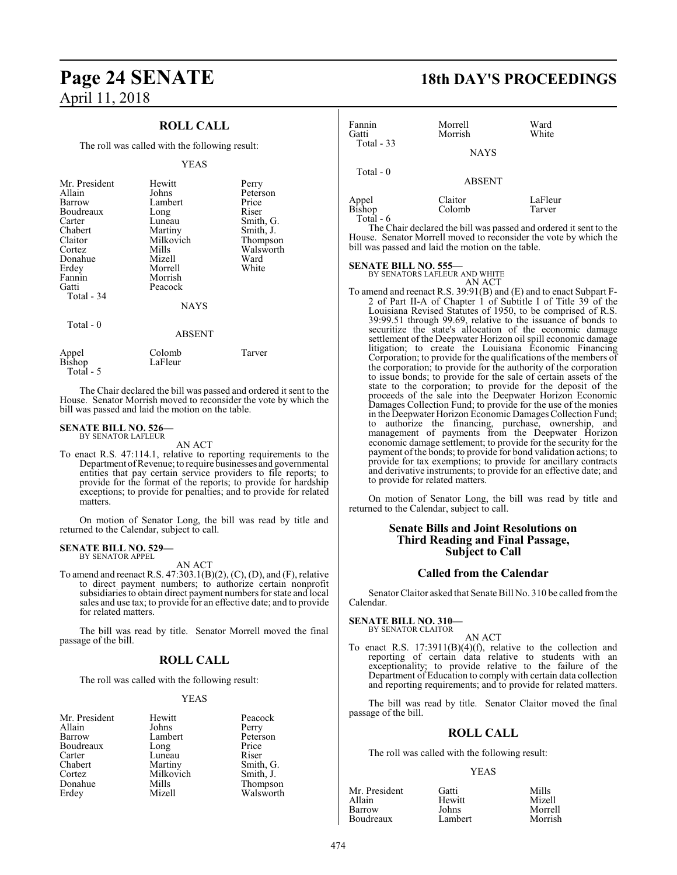## **Page 24 SENATE 18th DAY'S PROCEEDINGS** April 11, 2018

## **ROLL CALL**

The roll was called with the following result:

#### YEAS

| Mr. President<br>Allain<br>Barrow<br>Boudreaux<br>Carter<br>Chabert<br>Claitor<br>Cortez | Hewitt<br>Johns<br>Lambert<br>Long<br>Luneau<br>Martiny<br>Milkovich<br>Mills | Perry<br>Peterson<br>Price<br>Riser<br>Smith, G.<br>Smith, J.<br>Thompson<br>Walsworth |
|------------------------------------------------------------------------------------------|-------------------------------------------------------------------------------|----------------------------------------------------------------------------------------|
| Donahue                                                                                  | Mizell                                                                        | Ward                                                                                   |
| Erdey                                                                                    | Morrell                                                                       | White                                                                                  |
| Fannin                                                                                   | Morrish                                                                       |                                                                                        |
| Gatti                                                                                    | Peacock                                                                       |                                                                                        |
| Total - 34                                                                               |                                                                               |                                                                                        |
|                                                                                          | <b>NAYS</b>                                                                   |                                                                                        |
| Total - 0                                                                                |                                                                               |                                                                                        |
|                                                                                          | <b>ABSENT</b>                                                                 |                                                                                        |
| Appel<br><b>Bishop</b>                                                                   | Colomb<br>LaFleur                                                             | Tarver                                                                                 |

 Total - 5 The Chair declared the bill was passed and ordered it sent to the House. Senator Morrish moved to reconsider the vote by which the

bill was passed and laid the motion on the table.

#### **SENATE BILL NO. 526—** BY SENATOR LAFLEUR

AN ACT

To enact R.S. 47:114.1, relative to reporting requirements to the Department of Revenue; to require businesses and governmental entities that pay certain service providers to file reports; to provide for the format of the reports; to provide for hardship exceptions; to provide for penalties; and to provide for related matters.

On motion of Senator Long, the bill was read by title and returned to the Calendar, subject to call.

#### **SENATE BILL NO. 529—** BY SENATOR APPEL

AN ACT

To amend and reenact R.S. 47:303.1(B)(2), (C), (D), and (F), relative to direct payment numbers; to authorize certain nonprofit subsidiaries to obtain direct payment numbers for state and local sales and use tax; to provide for an effective date; and to provide for related matters.

The bill was read by title. Senator Morrell moved the final passage of the bill.

#### **ROLL CALL**

The roll was called with the following result:

#### YEAS

| Mr. President | Hewitt    | Peacock   |
|---------------|-----------|-----------|
| Allain        | Johns     | Perry     |
| Barrow        | Lambert   | Peterson  |
| Boudreaux     | Long      | Price     |
| Carter        | Luneau    | Riser     |
| Chabert       | Martiny   | Smith, G. |
| Cortez        | Milkovich | Smith, J. |
| Donahue       | Mills     | Thompson  |
| Erdey         | Mizell    | Walsworth |
|               |           |           |

| Fannin<br>Gatti<br>Total - 33 | Morrell<br>Morrish | Ward<br>White     |
|-------------------------------|--------------------|-------------------|
|                               | <b>NAYS</b>        |                   |
| Total $-0$                    | <b>ABSENT</b>      |                   |
| Appel<br>Bishop<br>Total      | Claitor<br>Colomb  | LaFleur<br>Tarver |

The Chair declared the bill was passed and ordered it sent to the House. Senator Morrell moved to reconsider the vote by which the bill was passed and laid the motion on the table.

#### **SENATE BILL NO. 555—**

BY SENATORS LAFLEUR AND WHITE AN ACT

To amend and reenact R.S. 39:91(B) and (E) and to enact Subpart F-2 of Part II-A of Chapter 1 of Subtitle I of Title 39 of the Louisiana Revised Statutes of 1950, to be comprised of R.S. 39:99.51 through 99.69, relative to the issuance of bonds to securitize the state's allocation of the economic damage settlement of the Deepwater Horizon oil spill economic damage litigation; to create the Louisiana Economic Financing Corporation; to provide for the qualifications of the members of the corporation; to provide for the authority of the corporation to issue bonds; to provide for the sale of certain assets of the state to the corporation; to provide for the deposit of the proceeds of the sale into the Deepwater Horizon Economic Damages Collection Fund; to provide for the use of the monies in the Deepwater Horizon Economic Damages Collection Fund; to authorize the financing, purchase, ownership, and management of payments from the Deepwater Horizon economic damage settlement; to provide for the security for the payment of the bonds; to provide for bond validation actions; to provide for tax exemptions; to provide for ancillary contracts and derivative instruments; to provide for an effective date; and to provide for related matters.

On motion of Senator Long, the bill was read by title and returned to the Calendar, subject to call.

#### **Senate Bills and Joint Resolutions on Third Reading and Final Passage, Subject to Call**

#### **Called from the Calendar**

Senator Claitor asked that Senate Bill No. 310 be called fromthe Calendar.

#### **SENATE BILL NO. 310—**

BY SENATOR CLAITOR AN ACT

To enact R.S. 17:3911(B)(4)(f), relative to the collection and reporting of certain data relative to students with an exceptionality; to provide relative to the failure of the Department of Education to comply with certain data collection and reporting requirements; and to provide for related matters.

The bill was read by title. Senator Claitor moved the final passage of the bill.

### **ROLL CALL**

The roll was called with the following result:

#### YEAS

| Mr. President | Gatti   | Mills   |
|---------------|---------|---------|
| Allain        | Hewitt  | Mizell  |
| Barrow        | Johns   | Morrell |
| Boudreaux     | Lambert | Morrish |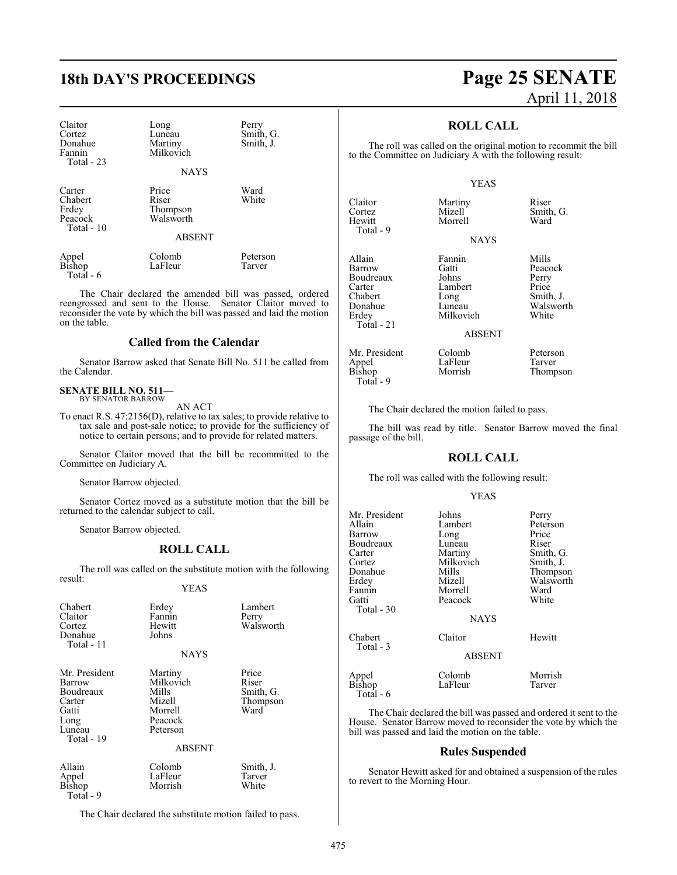| Claitor<br>Cortez<br>Donahue<br>Fannin<br>Total - 23 | Long<br>Luneau<br>Martiny<br>Milkovich  | Perry<br>Smith, G.<br>Smith, J. |
|------------------------------------------------------|-----------------------------------------|---------------------------------|
|                                                      | <b>NAYS</b>                             |                                 |
| Carter<br>Chabert<br>Erdey<br>Peacock<br>Total - 10  | Price<br>Riser<br>Thompson<br>Walsworth | Ward<br>White                   |
|                                                      | ABSENT                                  |                                 |

|                 | Colomb  | Peterson |
|-----------------|---------|----------|
| Appel<br>Bishop | LaFleur | Tarver   |
| Total $-6$      |         |          |

The Chair declared the amended bill was passed, ordered reengrossed and sent to the House. Senator Claitor moved to reconsider the vote by which the bill was passed and laid the motion on the table.

#### **Called from the Calendar**

Senator Barrow asked that Senate Bill No. 511 be called from the Calendar.

#### **SENATE BILL NO. 511—** BY SENATOR BARROW

AN ACT

To enact R.S. 47:2156(D), relative to tax sales; to provide relative to tax sale and post-sale notice; to provide for the sufficiency of notice to certain persons; and to provide for related matters.

Senator Claitor moved that the bill be recommitted to the Committee on Judiciary A.

Senator Barrow objected.

Senator Cortez moved as a substitute motion that the bill be returned to the calendar subject to call.

Senator Barrow objected.

### **ROLL CALL**

The roll was called on the substitute motion with the following result:

YEAS

| Chabert<br>Claitor<br>Cortez<br>Donahue<br>Total - 11 | Erdey<br>Fannin<br>Hewitt<br>Johns<br><b>NAYS</b> | Lambert<br>Perry<br>Walsworth |
|-------------------------------------------------------|---------------------------------------------------|-------------------------------|
|                                                       |                                                   |                               |
| Mr. President                                         | Martiny                                           | Price                         |
| Barrow                                                | Milkovich                                         | Riser                         |
| Boudreaux                                             | Mills                                             | Smith, G.                     |
| Carter                                                | Mizell                                            | Thompson                      |
| Gatti                                                 | Morrell                                           | Ward                          |
| Long                                                  | Peacock                                           |                               |
| Luneau                                                | Peterson                                          |                               |
| Total - 19                                            |                                                   |                               |
|                                                       | ABSENT                                            |                               |
| Allain                                                | Colomb                                            | Smith, J.                     |
| Appel                                                 | LaFleur                                           | Tarver                        |
| Bishop                                                | Morrish                                           | White                         |
| Total - 9                                             |                                                   |                               |

The Chair declared the substitute motion failed to pass.

## **18th DAY'S PROCEEDINGS Page 25 SENATE** April 11, 2018

### **ROLL CALL**

The roll was called on the original motion to recommit the bill to the Committee on Judiciary A with the following result:

#### YEAS

| Claitor<br>Cortez<br>Hewitt<br>Total - 9                                              | Martiny<br>Mizell<br>Morrell                                       | Riser<br>Smith, G.<br>Ward                                            |
|---------------------------------------------------------------------------------------|--------------------------------------------------------------------|-----------------------------------------------------------------------|
|                                                                                       | <b>NAYS</b>                                                        |                                                                       |
| Allain<br>Barrow<br>Boudreaux<br>Carter<br>Chabert<br>Donahue<br>Erdey<br>Total $-21$ | Fannin<br>Gatti<br>Johns<br>Lambert<br>Long<br>Luneau<br>Milkovich | Mills<br>Peacock<br>Perry<br>Price<br>Smith, J.<br>Walsworth<br>White |

ABSENT

Mr. President Colomb Peterson<br>
Appel LaFleur Tarver Appel LaFleur<br>Bishop Morrish

Total - 9

Thompson

The Chair declared the motion failed to pass.

The bill was read by title. Senator Barrow moved the final passage of the bill.

#### **ROLL CALL**

The roll was called with the following result:

#### YEAS

| Mr. President        | Johns         | Perry     |
|----------------------|---------------|-----------|
| Allain               | Lambert       | Peterson  |
| Barrow               | Long          | Price     |
| Boudreaux            | Luneau        | Riser     |
| Carter               | Martiny       | Smith, G. |
| Cortez               | Milkovich     | Smith, J. |
| Donahue              | Mills         | Thompson  |
| Erdey                | Mizell        | Walsworth |
| Fannin               | Morrell       | Ward      |
| Gatti                | Peacock       | White     |
| Total - 30           |               |           |
|                      | <b>NAYS</b>   |           |
| Chabert<br>Total - 3 | Claitor       | Hewitt    |
|                      | <b>ABSENT</b> |           |
|                      | Colomb        | Morrish   |
| Appel<br>Bishop      | LaFleur       | Tarver    |
| Total - 6            |               |           |

The Chair declared the bill was passed and ordered it sent to the House. Senator Barrow moved to reconsider the vote by which the bill was passed and laid the motion on the table.

#### **Rules Suspended**

Senator Hewitt asked for and obtained a suspension of the rules to revert to the Morning Hour.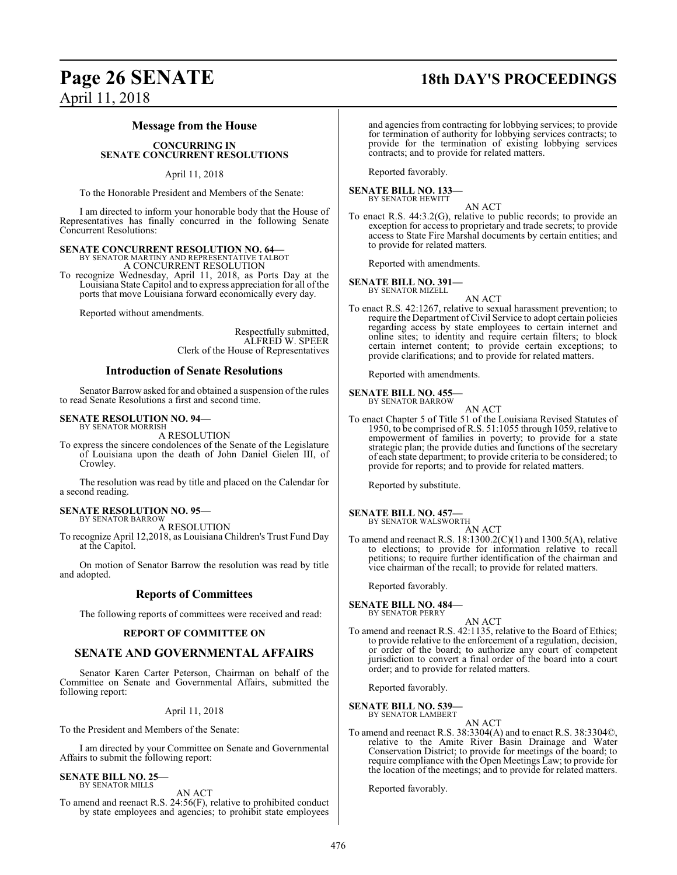## **Page 26 SENATE 18th DAY'S PROCEEDINGS** April 11, 2018

#### **Message from the House**

#### **CONCURRING IN SENATE CONCURRENT RESOLUTIONS**

#### April 11, 2018

To the Honorable President and Members of the Senate:

I am directed to inform your honorable body that the House of Representatives has finally concurred in the following Senate Concurrent Resolutions:

## **SENATE CONCURRENT RESOLUTION NO. 64—** BY SENATOR MARTINY AND REPRESENTATIVE TALBOT

A CONCURRENT RESOLUTION

To recognize Wednesday, April 11, 2018, as Ports Day at the Louisiana State Capitol and to express appreciation for all of the ports that move Louisiana forward economically every day.

Reported without amendments.

Respectfully submitted, ALFRED W. SPEER Clerk of the House of Representatives

### **Introduction of Senate Resolutions**

Senator Barrow asked for and obtained a suspension of the rules to read Senate Resolutions a first and second time.

#### **SENATE RESOLUTION NO. 94—**

BY SENATOR MORRISH A RESOLUTION

To express the sincere condolences of the Senate of the Legislature of Louisiana upon the death of John Daniel Gielen III, of Crowley.

The resolution was read by title and placed on the Calendar for a second reading.

## **SENATE RESOLUTION NO. 95—**

BY SENATOR BARROW A RESOLUTION

To recognize April 12,2018, as Louisiana Children's Trust Fund Day at the Capitol.

On motion of Senator Barrow the resolution was read by title and adopted.

### **Reports of Committees**

The following reports of committees were received and read:

#### **REPORT OF COMMITTEE ON**

### **SENATE AND GOVERNMENTAL AFFAIRS**

Senator Karen Carter Peterson, Chairman on behalf of the Committee on Senate and Governmental Affairs, submitted the following report:

#### April 11, 2018

To the President and Members of the Senate:

I am directed by your Committee on Senate and Governmental Affairs to submit the following report:

## **SENATE BILL NO. 25—** BY SENATOR MILLS

AN ACT

To amend and reenact R.S. 24:56(F), relative to prohibited conduct by state employees and agencies; to prohibit state employees

and agencies from contracting for lobbying services; to provide for termination of authority for lobbying services contracts; to provide for the termination of existing lobbying services contracts; and to provide for related matters.

Reported favorably.

#### **SENATE BILL NO. 133—** BY SENATOR HEWITT

AN ACT

To enact R.S. 44:3.2(G), relative to public records; to provide an exception for access to proprietary and trade secrets; to provide access to State Fire Marshal documents by certain entities; and to provide for related matters.

Reported with amendments.

#### **SENATE BILL NO. 391—**

BY SENATOR MIZELL AN ACT

To enact R.S. 42:1267, relative to sexual harassment prevention; to require the Department ofCivil Service to adopt certain policies regarding access by state employees to certain internet and online sites; to identity and require certain filters; to block certain internet content; to provide certain exceptions; to provide clarifications; and to provide for related matters.

Reported with amendments.

#### **SENATE BILL NO. 455—**

BY SENATOR BARROW AN ACT

To enact Chapter 5 of Title 51 of the Louisiana Revised Statutes of 1950, to be comprised of R.S. 51:1055 through 1059, relative to empowerment of families in poverty; to provide for a state strategic plan; the provide duties and functions of the secretary of each state department; to provide criteria to be considered; to provide for reports; and to provide for related matters.

Reported by substitute.

#### **SENATE BILL NO. 457-**

BY SENATOR WALSWORTH

AN ACT To amend and reenact R.S. 18:1300.2(C)(1) and 1300.5(A), relative to elections; to provide for information relative to recall petitions; to require further identification of the chairman and vice chairman of the recall; to provide for related matters.

Reported favorably.

## **SENATE BILL NO. 484—** BY SENATOR PERRY

AN ACT

To amend and reenact R.S. 42:1135, relative to the Board of Ethics; to provide relative to the enforcement of a regulation, decision, or order of the board; to authorize any court of competent jurisdiction to convert a final order of the board into a court order; and to provide for related matters.

Reported favorably.

#### **SENATE BILL NO. 539—**

BY SENATOR LAMBERT AN ACT

To amend and reenact R.S. 38:3304(A) and to enact R.S. 38:3304©, relative to the Amite River Basin Drainage and Water Conservation District; to provide for meetings of the board; to require compliance with the Open Meetings Law; to provide for the location of the meetings; and to provide for related matters.

Reported favorably.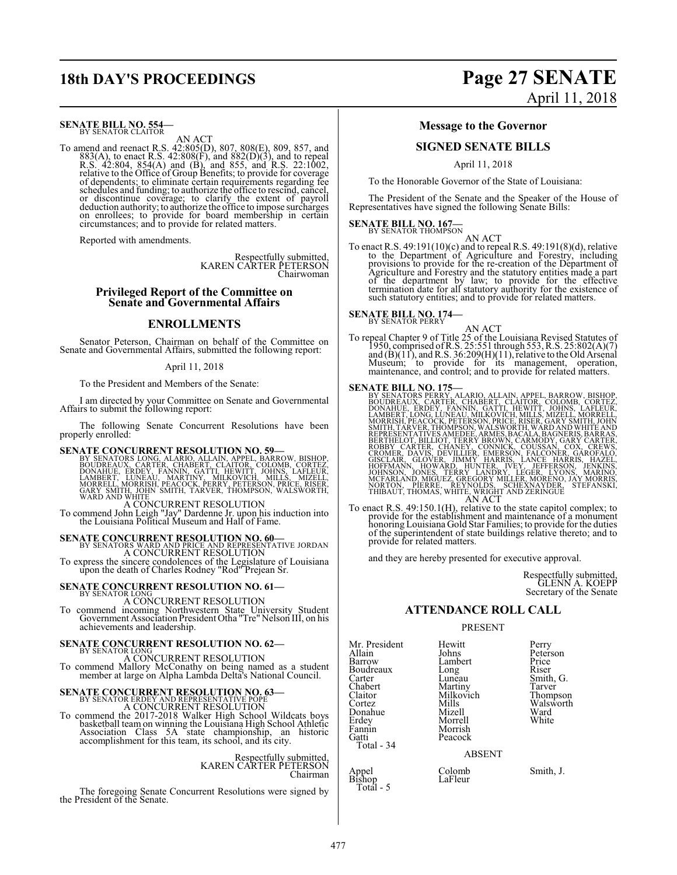## **SENATE BILL NO. 554-**<br>BY SENATOR CLAITOR

AN ACT

To amend and reenact R.S. 42:805(D), 807, 808(E), 809, 857, and 883(A), to enact R.S. 42:808(F), and 882(D)(3), and to repeal R.S. 42:804, 854(A) and (B), and 885, and R.S. 22:1002, relative to the Office of Group Benefit or discontinue coverage; to clarify the extent of payroll deduction authority; to authorize the office to impose surcharges on enrollees; to provide for board membership in certain circumstances; and to provide for related

Reported with amendments.

Respectfully submitted, KAREN CARTER PETERSON Chairwoman

#### **Privileged Report of the Committee on Senate and Governmental Affairs**

#### **ENROLLMENTS**

Senator Peterson, Chairman on behalf of the Committee on Senate and Governmental Affairs, submitted the following report:

#### April 11, 2018

To the President and Members of the Senate:

I am directed by your Committee on Senate and Governmental Affairs to submit the following report:

The following Senate Concurrent Resolutions have been properly enrolled:

**SENATE CONCURRENT RESOLUTION NO. 59**<br>BY SENATORS LONG, ALARIO, ALLAIN, APPEL, BARROW, BISHOP, BOUDREAUX, CARTER, CHABERT, CLAITOR, COLOMB, CORTEZ,<br>DONAHUE, ERDEY, FANNIN, GATTI, HEWITT, JOHNS, LAFLEUR,<br>LAMBERT, LUNEAU, MA

A CONCURRENT RESOLUTION To commend John Leigh "Jay" Dardenne Jr. upon his induction into the Louisiana Political Museum and Hall of Fame.

**SENATE CONCURRENT RESOLUTION NO. 60—**<br>BY SENATORS WARD AND PRICE AND REPRESENTATIVE JORDAN<br>A CONCURRENT RESOLUTION

To express the sincere condolences of the Legislature of Louisiana upon the death of Charles Rodney "Rod" Prejean Sr.

# **SENATE CONCURRENT RESOLUTION NO. 61–**<br>BY SENATOR LONG *CONGURER*

A CONCURRENT RESOLUTION To commend incoming Northwestern State University Student Government Association President Otha "Tre" Nelson III, on his achievements and leadership.

# **SENATE CONCURRENT RESOLUTION NO. 62—** BY SENATOR LONG

A CONCURRENT RESOLUTION To commend Mallory McConathy on being named as a student member at large on Alpha Lambda Delta's National Council.

**SENATE CONCURRENT RESOLUTION NO. 63–**<br>BY SENATOR ERDEY AND REPRESENTATIVE POPE

A CONCURRENT RESOLUTION<br>To commend the 2017-2018 Walker High School Wildcats boys<br>basketball team on winning the Louisiana High School Athletic<br>Association Class 5A state championship, an historic<br>accomplishment for this t

## Respectfully submitted, KAREN CARTER PETERSON Chairman

The foregoing Senate Concurrent Resolutions were signed by the President of the Senate.

## **18th DAY'S PROCEEDINGS Page 27 SENATE** April 11, 2018

#### **Message to the Governor**

#### **SIGNED SENATE BILLS**

April 11, 2018

To the Honorable Governor of the State of Louisiana:

The President of the Senate and the Speaker of the House of Representatives have signed the following Senate Bills:

# **SENATE BILL NO. 167—** BY SENATOR THOMPSON

AN ACT

To enact R.S. 49:191(10)(c) and to repeal R.S. 49:191(8)(d), relative<br>to the Department of Agriculture and Forestry, including<br>provisions to provide for the re-creation of the Department of<br>Agriculture and Forestry and th

## **SENATE BILL NO. 174—** BY SENATOR PERRY

AN ACT<br>To repeal Chapter 9 of Title 25 of the Louisiana Revised Statutes of<br>1950, comprised of R.S. 25:551 through 553, R.S. 25:802(A)(7) and  $(B)(11)$ , and R.S. 36:209 $(H)(11)$ , relative to the Old Arsenal Museum; to provide for its management, operation, maintenance, and control; and to provide for related matters.

**SENATE BILL NO. 175—**<br>
BY SENATORS PERRY, ALARIO, ALLAIN, APPEL, BARROW, BISHOP, BOUDREAUX, CARTER, CHABERT, CLAITOR, COLOMB, CORTEZ,<br>
DOMAHUE, ERDEY, FANNIN, GATTI, HEWITT, JOHNS, LAFLEUR,<br>
LAMBERT, LONG LUNEAU, MILKOVIC

To enact R.S. 49:150.1(H), relative to the state capitol complex; to provide for the establishment and maintenance of a monument honoring Louisiana Gold Star Families; to provide for the duties of the superintendent of state buildings relative thereto; and to provide for related matters.

and they are hereby presented for executive approval.

Respectfully submitted, GLENN A. KOEPP Secretary of the Senate

#### **ATTENDANCE ROLL CALL**

#### PRESENT

Mr. President Hewitt Perry<br>Allain Johns Peter: Allain Johns Peterson<br>Barrow Lambert Price Boudreaux Long<br>Carter Luneau Carter Luneau Smith, G.<br>
Chabert Martiny Tarver Chabert Martiny Tarver<br>Claitor Milkovich Thompson Claitor Milkovich Thompson Cortez Mills Walsworth Cortez<br>Donahue Mizell Walsworth<br>Donahue Mizell Ward<br>Erdey Morrell White Erdey Morrell<br>Fannin Morrish Fannin Morrish<br>Gatti Peacock Total - 34

Lambert Price<br>
Long Riser Peacock

ABSENT

Appel Colomb Smith, J. Bishop LaFleur Total - 5